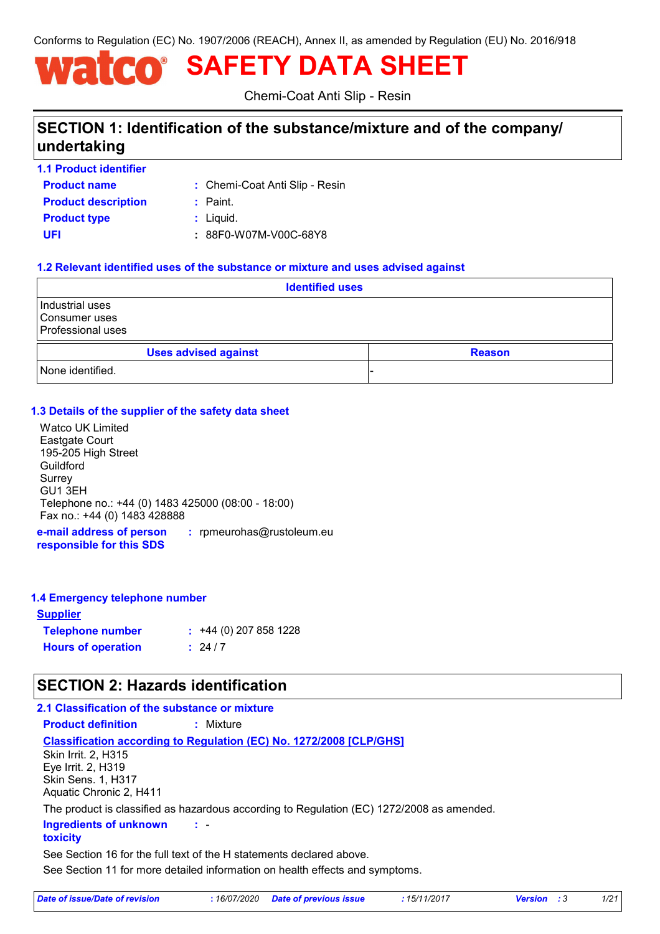Conforms to Regulation (EC) No. 1907/2006 (REACH), Annex II, as amended by Regulation (EU) No. 2016/918

# **SAFETY DATA SHEET**

Chemi-Coat Anti Slip - Resin

### **SECTION 1: Identification of the substance/mixture and of the company/ undertaking**

**1.1 Product identifier**

**Product name**

Chemi-Coat Anti Slip - Resin **:**

**Product type :** Liquid. **Product description :** Paint.

**UFI :** 88F0-W07M-V00C-68Y8

### **1.2 Relevant identified uses of the substance or mixture and uses advised against**

| <b>Identified uses</b>                                         |  |  |               |
|----------------------------------------------------------------|--|--|---------------|
| Industrial uses<br>l Consumer uses<br><b>Professional uses</b> |  |  |               |
| <b>Uses advised against</b>                                    |  |  | <b>Reason</b> |
| None identified.                                               |  |  |               |

### **1.3 Details of the supplier of the safety data sheet**

Watco UK Limited Eastgate Court 195-205 High Street Guildford Surrey GU1 3EH Telephone no.: +44 (0) 1483 425000 (08:00 - 18:00) Fax no.: +44 (0) 1483 428888

**e-mail address of person responsible for this SDS :** rpmeurohas@rustoleum.eu

### **1.4 Emergency telephone number**

| <u>Supplier</u>           |                             |
|---------------------------|-----------------------------|
| <b>Telephone number</b>   | $\div$ +44 (0) 207 858 1228 |
| <b>Hours of operation</b> | : 24/7                      |

### **SECTION 2: Hazards identification**

### **2.1 Classification of the substance or mixture**

**Product definition :** Mixture

#### **Classification according to Regulation (EC) No. 1272/2008 [CLP/GHS]**

Skin Irrit. 2, H315 Eye Irrit. 2, H319 Skin Sens. 1, H317 Aquatic Chronic 2, H411

The product is classified as hazardous according to Regulation (EC) 1272/2008 as amended.

- **: Ingredients of unknown** 

#### **toxicity**

See Section 16 for the full text of the H statements declared above.

See Section 11 for more detailed information on health effects and symptoms.

| Date of issue/Date of revision | : 16/07/2020 Date of previous issue | : 15/11/2017 | <b>Version</b> : 3 | 1/21 |
|--------------------------------|-------------------------------------|--------------|--------------------|------|
|--------------------------------|-------------------------------------|--------------|--------------------|------|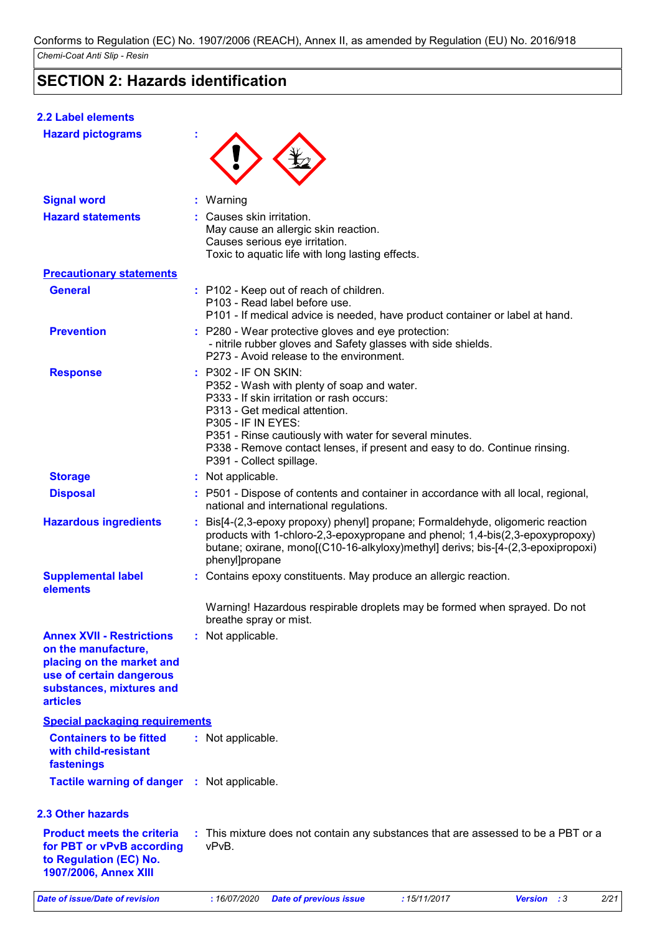### **SECTION 2: Hazards identification**

### **2.2 Label elements**

| <b>Hazard pictograms</b>                                                                                                                                        |                                                                                                                                                                                                                                                                                                                                                    |  |
|-----------------------------------------------------------------------------------------------------------------------------------------------------------------|----------------------------------------------------------------------------------------------------------------------------------------------------------------------------------------------------------------------------------------------------------------------------------------------------------------------------------------------------|--|
| <b>Signal word</b>                                                                                                                                              | : Warning                                                                                                                                                                                                                                                                                                                                          |  |
| <b>Hazard statements</b>                                                                                                                                        | : Causes skin irritation.<br>May cause an allergic skin reaction.<br>Causes serious eye irritation.<br>Toxic to aquatic life with long lasting effects.                                                                                                                                                                                            |  |
| <b>Precautionary statements</b>                                                                                                                                 |                                                                                                                                                                                                                                                                                                                                                    |  |
| <b>General</b>                                                                                                                                                  | : P102 - Keep out of reach of children.<br>P103 - Read label before use.<br>P101 - If medical advice is needed, have product container or label at hand.                                                                                                                                                                                           |  |
| <b>Prevention</b>                                                                                                                                               | : P280 - Wear protective gloves and eye protection:<br>- nitrile rubber gloves and Safety glasses with side shields.<br>P273 - Avoid release to the environment.                                                                                                                                                                                   |  |
| <b>Response</b>                                                                                                                                                 | : P302 - IF ON SKIN:<br>P352 - Wash with plenty of soap and water.<br>P333 - If skin irritation or rash occurs:<br>P313 - Get medical attention.<br><b>P305 - IF IN EYES:</b><br>P351 - Rinse cautiously with water for several minutes.<br>P338 - Remove contact lenses, if present and easy to do. Continue rinsing.<br>P391 - Collect spillage. |  |
| <b>Storage</b>                                                                                                                                                  | : Not applicable.                                                                                                                                                                                                                                                                                                                                  |  |
| <b>Disposal</b>                                                                                                                                                 | : P501 - Dispose of contents and container in accordance with all local, regional,<br>national and international regulations.                                                                                                                                                                                                                      |  |
| <b>Hazardous ingredients</b>                                                                                                                                    | : Bis[4-(2,3-epoxy propoxy) phenyl] propane; Formaldehyde, oligomeric reaction<br>products with 1-chloro-2,3-epoxypropane and phenol; 1,4-bis(2,3-epoxypropoxy)<br>butane; oxirane, mono[(C10-16-alkyloxy)methyl] derivs; bis-[4-(2,3-epoxipropoxi)<br>phenyl]propane                                                                              |  |
| <b>Supplemental label</b><br>elements                                                                                                                           | : Contains epoxy constituents. May produce an allergic reaction.                                                                                                                                                                                                                                                                                   |  |
|                                                                                                                                                                 | Warning! Hazardous respirable droplets may be formed when sprayed. Do not<br>breathe spray or mist.                                                                                                                                                                                                                                                |  |
| <b>Annex XVII - Restrictions</b><br>on the manufacture,<br>placing on the market and<br>use of certain dangerous<br>substances, mixtures and<br><b>articles</b> | : Not applicable.                                                                                                                                                                                                                                                                                                                                  |  |
| <b>Special packaging requirements</b>                                                                                                                           |                                                                                                                                                                                                                                                                                                                                                    |  |
| <b>Containers to be fitted</b><br>with child-resistant<br>fastenings                                                                                            | : Not applicable.                                                                                                                                                                                                                                                                                                                                  |  |
| <b>Tactile warning of danger</b>                                                                                                                                | : Not applicable.                                                                                                                                                                                                                                                                                                                                  |  |
| <b>2.3 Other hazards</b>                                                                                                                                        |                                                                                                                                                                                                                                                                                                                                                    |  |
| <b>Product meets the criteria</b><br>for PBT or vPvB according<br>to Regulation (EC) No.<br>1907/2006, Annex XIII                                               | : This mixture does not contain any substances that are assessed to be a PBT or a<br>vPvB.                                                                                                                                                                                                                                                         |  |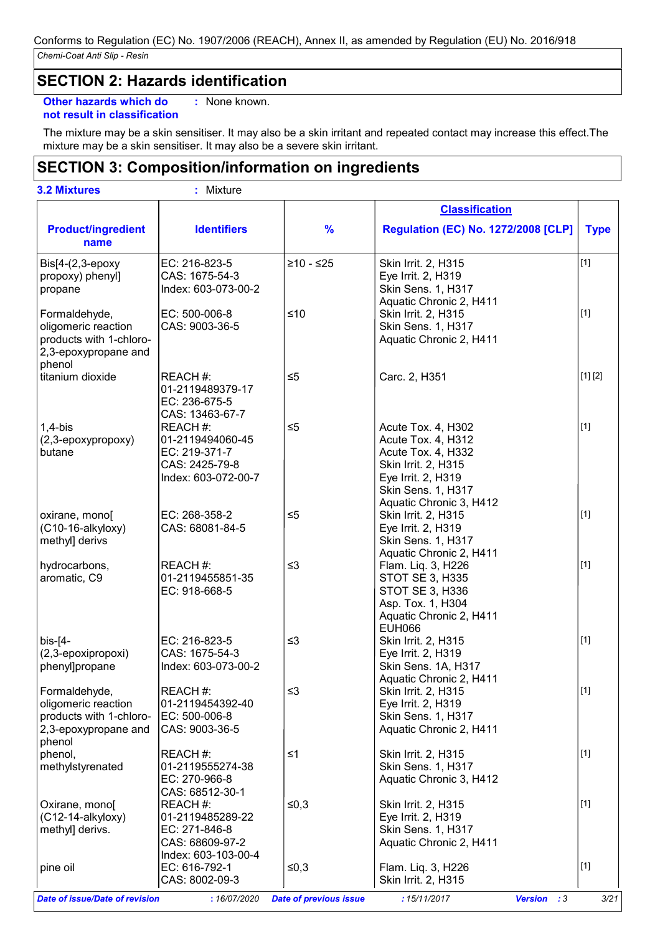### **SECTION 2: Hazards identification**

**Other hazards which do :** : None known.

### **not result in classification**

The mixture may be a skin sensitiser. It may also be a skin irritant and repeated contact may increase this effect.The mixture may be a skin sensitiser. It may also be a severe skin irritant.

### **SECTION 3: Composition/information on ingredients**

| <b>3.2 Mixtures</b>                             | : Mixture                             |               |                                                |             |
|-------------------------------------------------|---------------------------------------|---------------|------------------------------------------------|-------------|
|                                                 |                                       |               | <b>Classification</b>                          |             |
| <b>Product/ingredient</b><br>name               | <b>Identifiers</b>                    | $\frac{9}{6}$ | <b>Regulation (EC) No. 1272/2008 [CLP]</b>     | <b>Type</b> |
| $Bis[4-(2,3-epoxy)]$                            | EC: 216-823-5                         | $≥10 - ≤25$   | Skin Irrit. 2, H315                            | $[1]$       |
| propoxy) phenyl]                                | CAS: 1675-54-3                        |               | Eye Irrit. 2, H319                             |             |
| propane                                         | Index: 603-073-00-2                   |               | Skin Sens. 1, H317                             |             |
| Formaldehyde,                                   | EC: 500-006-8                         | $≤10$         | Aquatic Chronic 2, H411<br>Skin Irrit. 2, H315 | $[1]$       |
| oligomeric reaction                             | CAS: 9003-36-5                        |               | Skin Sens. 1, H317                             |             |
| products with 1-chloro-<br>2,3-epoxypropane and |                                       |               | Aquatic Chronic 2, H411                        |             |
| phenol<br>titanium dioxide                      | REACH #:                              | $\leq 5$      | Carc. 2, H351                                  | [1] [2]     |
|                                                 | 01-2119489379-17<br>EC: 236-675-5     |               |                                                |             |
|                                                 | CAS: 13463-67-7<br>REACH #:           |               |                                                | $[1]$       |
| $1,4-b$ is<br>(2,3-epoxypropoxy)                | 01-2119494060-45                      | $\leq 5$      | Acute Tox. 4, H302<br>Acute Tox. 4, H312       |             |
| butane                                          | EC: 219-371-7                         |               | Acute Tox. 4, H332                             |             |
|                                                 | CAS: 2425-79-8                        |               | Skin Irrit. 2, H315                            |             |
|                                                 | Index: 603-072-00-7                   |               | Eye Irrit. 2, H319                             |             |
|                                                 |                                       |               | Skin Sens. 1, H317                             |             |
|                                                 |                                       |               | Aquatic Chronic 3, H412                        |             |
| oxirane, mono[                                  | EC: 268-358-2                         | $\leq 5$      | Skin Irrit. 2, H315                            | $[1]$       |
| (C10-16-alkyloxy)                               | CAS: 68081-84-5                       |               | Eye Irrit. 2, H319                             |             |
| methyl] derivs                                  |                                       |               | Skin Sens. 1, H317<br>Aquatic Chronic 2, H411  |             |
| hydrocarbons,                                   | REACH #:                              | $\leq$ 3      | Flam. Liq. 3, H226                             | $[1]$       |
| aromatic, C9                                    | 01-2119455851-35                      |               | <b>STOT SE 3, H335</b>                         |             |
|                                                 | EC: 918-668-5                         |               | STOT SE 3, H336                                |             |
|                                                 |                                       |               | Asp. Tox. 1, H304                              |             |
|                                                 |                                       |               | Aquatic Chronic 2, H411                        |             |
|                                                 |                                       |               | <b>EUH066</b>                                  |             |
| $bis$ - $[4-$                                   | EC: 216-823-5                         | $\leq$ 3      | Skin Irrit. 2, H315                            | $[1]$       |
| (2,3-epoxipropoxi)<br>phenyl]propane            | CAS: 1675-54-3<br>Index: 603-073-00-2 |               | Eye Irrit. 2, H319<br>Skin Sens. 1A, H317      |             |
|                                                 |                                       |               | Aquatic Chronic 2, H411                        |             |
| Formaldehyde,                                   | REACH #:                              | $\leq$ 3      | Skin Irrit. 2, H315                            | $[1]$       |
| oligomeric reaction                             | 01-2119454392-40                      |               | Eye Irrit. 2, H319                             |             |
| products with 1-chloro-                         | EC: 500-006-8                         |               | Skin Sens. 1, H317                             |             |
| 2,3-epoxypropane and<br>phenol                  | CAS: 9003-36-5                        |               | Aquatic Chronic 2, H411                        |             |
| phenol,                                         | REACH #:                              | $\leq 1$      | Skin Irrit. 2, H315                            | $[1]$       |
| methylstyrenated                                | 01-2119555274-38                      |               | Skin Sens. 1, H317                             |             |
|                                                 | EC: 270-966-8                         |               | Aquatic Chronic 3, H412                        |             |
| Oxirane, mono[                                  | CAS: 68512-30-1<br>REACH #:           | ≤0,3          | Skin Irrit. 2, H315                            | $[1]$       |
| (C12-14-alkyloxy)                               | 01-2119485289-22                      |               | Eye Irrit. 2, H319                             |             |
| methyl] derivs.                                 | EC: 271-846-8                         |               | Skin Sens. 1, H317                             |             |
|                                                 | CAS: 68609-97-2                       |               | Aquatic Chronic 2, H411                        |             |
|                                                 | Index: 603-103-00-4                   |               |                                                |             |
| pine oil                                        | EC: 616-792-1                         | ≤0,3          | Flam. Liq. 3, H226                             | $[1]$       |
|                                                 | CAS: 8002-09-3                        |               | Skin Irrit. 2, H315                            |             |

*Date of issue/Date of revision* **:** *16/07/2020 Date of previous issue : 15/11/2017 Version : 3 3/21*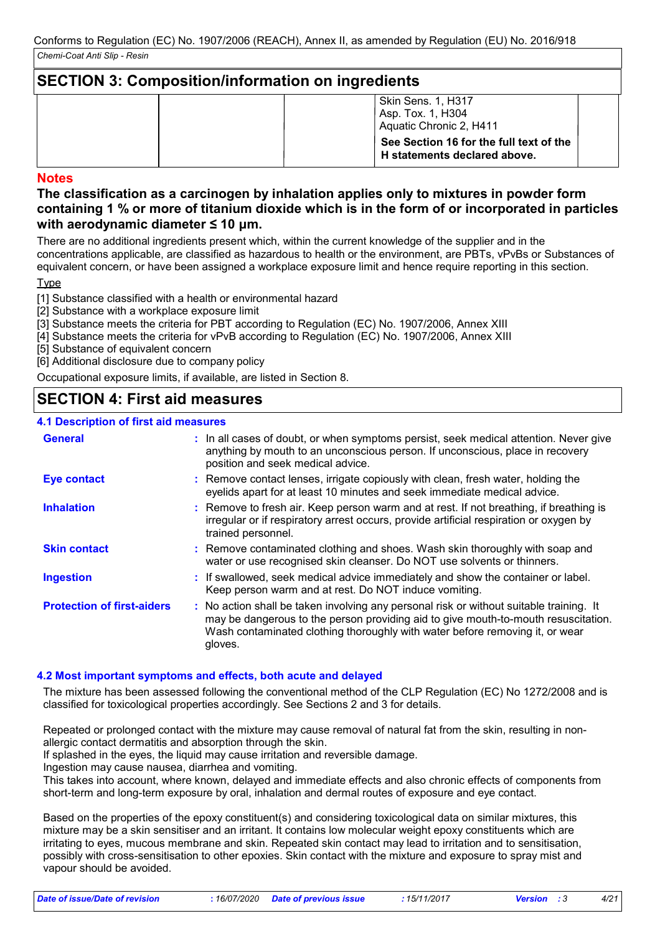### **SECTION 3: Composition/information on ingredients**

| Skin Sens. 1, H317<br>Asp. Tox. 1, H304<br>Aquatic Chronic 2, H411      |
|-------------------------------------------------------------------------|
| See Section 16 for the full text of the<br>H statements declared above. |

### **Notes**

### **The classification as a carcinogen by inhalation applies only to mixtures in powder form containing 1 % or more of titanium dioxide which is in the form of or incorporated in particles with aerodynamic diameter ≤ 10 μm.**

There are no additional ingredients present which, within the current knowledge of the supplier and in the concentrations applicable, are classified as hazardous to health or the environment, are PBTs, vPvBs or Substances of equivalent concern, or have been assigned a workplace exposure limit and hence require reporting in this section.

**Type** 

[1] Substance classified with a health or environmental hazard

[2] Substance with a workplace exposure limit

[3] Substance meets the criteria for PBT according to Regulation (EC) No. 1907/2006, Annex XIII

[4] Substance meets the criteria for vPvB according to Regulation (EC) No. 1907/2006, Annex XIII

[5] Substance of equivalent concern

[6] Additional disclosure due to company policy

Occupational exposure limits, if available, are listed in Section 8.

### **SECTION 4: First aid measures**

### **4.1 Description of first aid measures**

| <b>General</b>                    | : In all cases of doubt, or when symptoms persist, seek medical attention. Never give<br>anything by mouth to an unconscious person. If unconscious, place in recovery<br>position and seek medical advice.                                                              |
|-----------------------------------|--------------------------------------------------------------------------------------------------------------------------------------------------------------------------------------------------------------------------------------------------------------------------|
| <b>Eye contact</b>                | : Remove contact lenses, irrigate copiously with clean, fresh water, holding the<br>eyelids apart for at least 10 minutes and seek immediate medical advice.                                                                                                             |
| <b>Inhalation</b>                 | : Remove to fresh air. Keep person warm and at rest. If not breathing, if breathing is<br>irregular or if respiratory arrest occurs, provide artificial respiration or oxygen by<br>trained personnel.                                                                   |
| <b>Skin contact</b>               | : Remove contaminated clothing and shoes. Wash skin thoroughly with soap and<br>water or use recognised skin cleanser. Do NOT use solvents or thinners.                                                                                                                  |
| <b>Ingestion</b>                  | : If swallowed, seek medical advice immediately and show the container or label.<br>Keep person warm and at rest. Do NOT induce vomiting.                                                                                                                                |
| <b>Protection of first-aiders</b> | : No action shall be taken involving any personal risk or without suitable training. It<br>may be dangerous to the person providing aid to give mouth-to-mouth resuscitation.<br>Wash contaminated clothing thoroughly with water before removing it, or wear<br>gloves. |

### **4.2 Most important symptoms and effects, both acute and delayed**

The mixture has been assessed following the conventional method of the CLP Regulation (EC) No 1272/2008 and is classified for toxicological properties accordingly. See Sections 2 and 3 for details.

Repeated or prolonged contact with the mixture may cause removal of natural fat from the skin, resulting in nonallergic contact dermatitis and absorption through the skin.

If splashed in the eyes, the liquid may cause irritation and reversible damage.

Ingestion may cause nausea, diarrhea and vomiting.

This takes into account, where known, delayed and immediate effects and also chronic effects of components from short-term and long-term exposure by oral, inhalation and dermal routes of exposure and eye contact.

Based on the properties of the epoxy constituent(s) and considering toxicological data on similar mixtures, this mixture may be a skin sensitiser and an irritant. It contains low molecular weight epoxy constituents which are irritating to eyes, mucous membrane and skin. Repeated skin contact may lead to irritation and to sensitisation, possibly with cross-sensitisation to other epoxies. Skin contact with the mixture and exposure to spray mist and vapour should be avoided.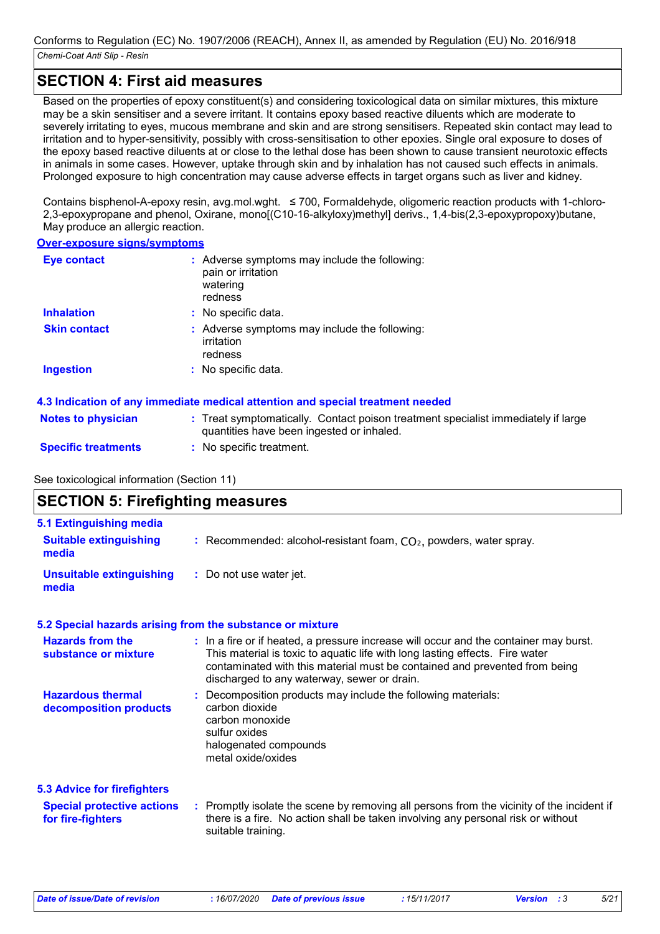### **SECTION 4: First aid measures**

Based on the properties of epoxy constituent(s) and considering toxicological data on similar mixtures, this mixture may be a skin sensitiser and a severe irritant. It contains epoxy based reactive diluents which are moderate to severely irritating to eyes, mucous membrane and skin and are strong sensitisers. Repeated skin contact may lead to irritation and to hyper-sensitivity, possibly with cross-sensitisation to other epoxies. Single oral exposure to doses of the epoxy based reactive diluents at or close to the lethal dose has been shown to cause transient neurotoxic effects in animals in some cases. However, uptake through skin and by inhalation has not caused such effects in animals. Prolonged exposure to high concentration may cause adverse effects in target organs such as liver and kidney.

Contains bisphenol-A-epoxy resin, avg.mol.wght. ≤ 700, Formaldehyde, oligomeric reaction products with 1-chloro-2,3-epoxypropane and phenol, Oxirane, mono[(C10-16-alkyloxy)methyl] derivs., 1,4-bis(2,3-epoxypropoxy)butane, May produce an allergic reaction.

#### **Over-exposure signs/symptoms**

| <b>Eye contact</b>  | : Adverse symptoms may include the following:<br>pain or irritation<br>watering<br>redness |  |
|---------------------|--------------------------------------------------------------------------------------------|--|
| <b>Inhalation</b>   | : No specific data.                                                                        |  |
| <b>Skin contact</b> | : Adverse symptoms may include the following:<br>irritation<br>redness                     |  |
| Ingestion           | : No specific data.                                                                        |  |

### **4.3 Indication of any immediate medical attention and special treatment needed**

| <b>Notes to physician</b>  | : Treat symptomatically. Contact poison treatment specialist immediately if large |
|----------------------------|-----------------------------------------------------------------------------------|
|                            | quantities have been ingested or inhaled.                                         |
| <b>Specific treatments</b> | No specific treatment.                                                            |

### See toxicological information (Section 11)

| <b>SECTION 5: Firefighting measures</b>                                                      |                                                                                                                                                                                                                                                                                                    |
|----------------------------------------------------------------------------------------------|----------------------------------------------------------------------------------------------------------------------------------------------------------------------------------------------------------------------------------------------------------------------------------------------------|
| <b>5.1 Extinguishing media</b><br><b>Suitable extinguishing</b><br>media                     | : Recommended: alcohol-resistant foam, $CO2$ , powders, water spray.                                                                                                                                                                                                                               |
| <b>Unsuitable extinguishing</b><br>media                                                     | : Do not use water jet.                                                                                                                                                                                                                                                                            |
|                                                                                              | 5.2 Special hazards arising from the substance or mixture                                                                                                                                                                                                                                          |
| <b>Hazards from the</b><br>substance or mixture                                              | : In a fire or if heated, a pressure increase will occur and the container may burst.<br>This material is toxic to aquatic life with long lasting effects. Fire water<br>contaminated with this material must be contained and prevented from being<br>discharged to any waterway, sewer or drain. |
| <b>Hazardous thermal</b><br>decomposition products                                           | : Decomposition products may include the following materials:<br>carbon dioxide<br>carbon monoxide<br>sulfur oxides<br>halogenated compounds<br>metal oxide/oxides                                                                                                                                 |
| <b>5.3 Advice for firefighters</b><br><b>Special protective actions</b><br>for fire-fighters | : Promptly isolate the scene by removing all persons from the vicinity of the incident if<br>there is a fire. No action shall be taken involving any personal risk or without<br>suitable training.                                                                                                |

*Date of issue/Date of revision* **:** *16/07/2020 Date of previous issue : 15/11/2017 Version : 3 5/21*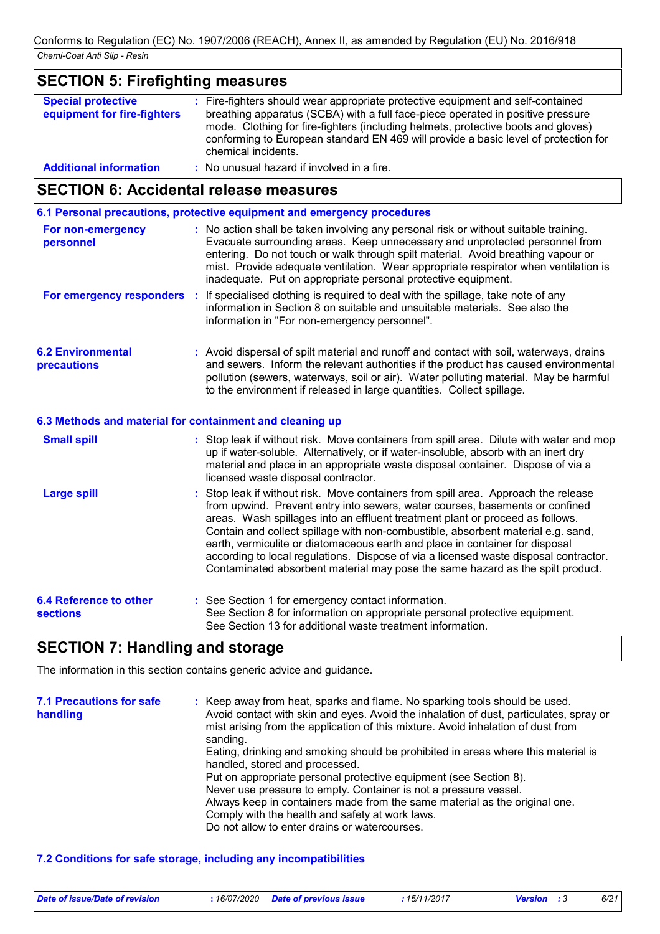#### **SECTION 5: Firefighting measures Special protective equipment for fire-fighters :** Fire-fighters should wear appropriate protective equipment and self-contained breathing apparatus (SCBA) with a full face-piece operated in positive pressure mode. Clothing for fire-fighters (including helmets, protective boots and gloves) conforming to European standard EN 469 will provide a basic level of protection for chemical incidents. **Additional information :** No unusual hazard if involved in a fire.

### **SECTION 6: Accidental release measures**

**6.1 Personal precautions, protective equipment and emergency procedures**

| For non-emergency<br>personnel                           | : No action shall be taken involving any personal risk or without suitable training.<br>Evacuate surrounding areas. Keep unnecessary and unprotected personnel from<br>entering. Do not touch or walk through spilt material. Avoid breathing vapour or<br>mist. Provide adequate ventilation. Wear appropriate respirator when ventilation is<br>inadequate. Put on appropriate personal protective equipment. |
|----------------------------------------------------------|-----------------------------------------------------------------------------------------------------------------------------------------------------------------------------------------------------------------------------------------------------------------------------------------------------------------------------------------------------------------------------------------------------------------|
|                                                          | For emergency responders : If specialised clothing is required to deal with the spillage, take note of any<br>information in Section 8 on suitable and unsuitable materials. See also the<br>information in "For non-emergency personnel".                                                                                                                                                                      |
| <b>6.2 Environmental</b><br><b>precautions</b>           | : Avoid dispersal of spilt material and runoff and contact with soil, waterways, drains<br>and sewers. Inform the relevant authorities if the product has caused environmental<br>pollution (sewers, waterways, soil or air). Water polluting material. May be harmful<br>to the environment if released in large quantities. Collect spillage.                                                                 |
| 6.3 Methods and material for containment and cleaning up |                                                                                                                                                                                                                                                                                                                                                                                                                 |
| <b>Small spill</b>                                       | : Stop leak if without risk. Move containers from spill area. Dilute with water and mop<br>up if water-soluble. Alternatively, or if water-insoluble, absorb with an inert dry<br>material and place in an appropriate waste disposal container. Dispose of via a<br>licensed waste disposal contractor.                                                                                                        |
| <b>Large spill</b>                                       | : Stop leak if without risk. Move containers from spill area. Approach the release<br>from upwind. Prevent entry into sewers, water courses, basements or confined<br>areas. Wash spillages into an effluent treatment plant or proceed as follows.<br>Contain and collect spillage with non-combustible, absorbent material e.g. sand,                                                                         |

| earth, vermiculite or diatomaceous earth and place in container for disposal         |
|--------------------------------------------------------------------------------------|
| according to local regulations. Dispose of via a licensed waste disposal contractor. |
| Contaminated absorbent material may pose the same hazard as the spilt product.       |
|                                                                                      |

| 6.4 Reference to other | : See Section 1 for emergency contact information.                                                                                        |
|------------------------|-------------------------------------------------------------------------------------------------------------------------------------------|
| <b>sections</b>        | See Section 8 for information on appropriate personal protective equipment.<br>See Section 13 for additional waste treatment information. |

### **SECTION 7: Handling and storage**

The information in this section contains generic advice and guidance.

| <b>7.1 Precautions for safe</b><br>handling | : Keep away from heat, sparks and flame. No sparking tools should be used.<br>Avoid contact with skin and eyes. Avoid the inhalation of dust, particulates, spray or<br>mist arising from the application of this mixture. Avoid inhalation of dust from<br>sanding. |
|---------------------------------------------|----------------------------------------------------------------------------------------------------------------------------------------------------------------------------------------------------------------------------------------------------------------------|
|                                             | Eating, drinking and smoking should be prohibited in areas where this material is<br>handled, stored and processed.                                                                                                                                                  |
|                                             | Put on appropriate personal protective equipment (see Section 8).                                                                                                                                                                                                    |
|                                             | Never use pressure to empty. Container is not a pressure vessel.                                                                                                                                                                                                     |
|                                             | Always keep in containers made from the same material as the original one.                                                                                                                                                                                           |
|                                             | Comply with the health and safety at work laws.                                                                                                                                                                                                                      |
|                                             | Do not allow to enter drains or watercourses.                                                                                                                                                                                                                        |

### **7.2 Conditions for safe storage, including any incompatibilities**

| Date of issue/Date of revision | : 16/07/2020 Date of previous issue | : 15/11/2017 | <b>Version</b> : 3 | 6/21 |
|--------------------------------|-------------------------------------|--------------|--------------------|------|
|--------------------------------|-------------------------------------|--------------|--------------------|------|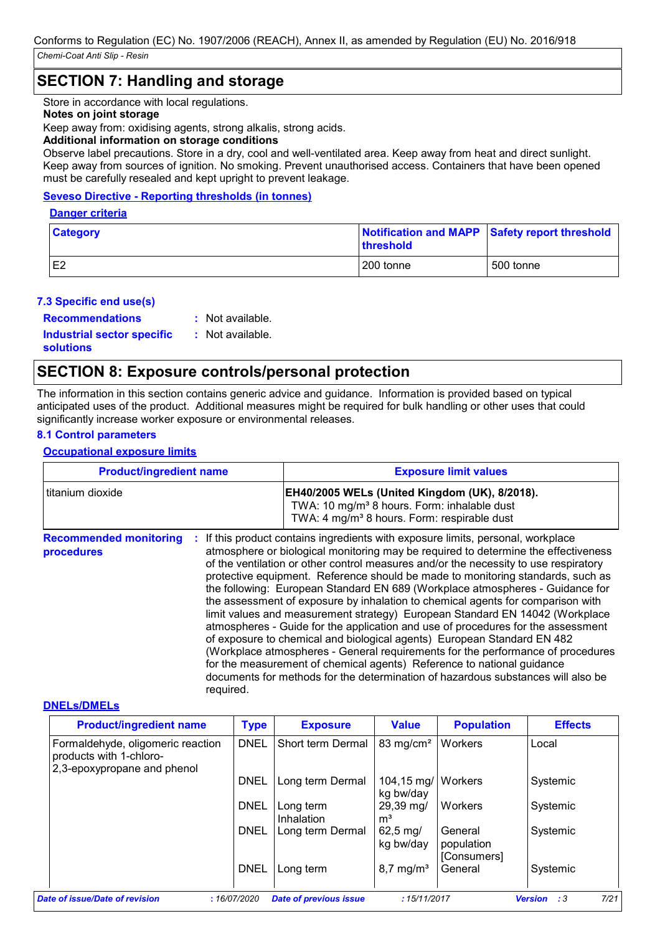### **SECTION 7: Handling and storage**

Store in accordance with local regulations.

#### **Notes on joint storage**

Keep away from: oxidising agents, strong alkalis, strong acids.

#### **Additional information on storage conditions**

Observe label precautions. Store in a dry, cool and well-ventilated area. Keep away from heat and direct sunlight. Keep away from sources of ignition. No smoking. Prevent unauthorised access. Containers that have been opened must be carefully resealed and kept upright to prevent leakage.

#### **Seveso Directive - Reporting thresholds (in tonnes)**

#### **Danger criteria**

| <b>Category</b> | <b>threshold</b> | Notification and MAPP Safety report threshold |
|-----------------|------------------|-----------------------------------------------|
| E <sub>2</sub>  | 200 tonne        | 500 tonne                                     |

#### **7.3 Specific end use(s)**

**Recommendations :**

: Not available.

**Industrial sector specific : solutions**

: Not available.

### **SECTION 8: Exposure controls/personal protection**

The information in this section contains generic advice and guidance. Information is provided based on typical anticipated uses of the product. Additional measures might be required for bulk handling or other uses that could significantly increase worker exposure or environmental releases.

### **8.1 Control parameters**

#### **Occupational exposure limits**

| <b>Product/ingredient name</b><br>titanium dioxide |  | <b>Exposure limit values</b><br>EH40/2005 WELs (United Kingdom (UK), 8/2018).<br>TWA: 10 mg/m <sup>3</sup> 8 hours. Form: inhalable dust<br>TWA: 4 mg/m <sup>3</sup> 8 hours. Form: respirable dust |  |  |
|----------------------------------------------------|--|-----------------------------------------------------------------------------------------------------------------------------------------------------------------------------------------------------|--|--|
|                                                    |  |                                                                                                                                                                                                     |  |  |

#### **DNELs/DMELs**

| <b>Product/ingredient name</b>                                                              | <b>Type</b> | <b>Exposure</b>               | <b>Value</b>                      | <b>Population</b>                    | <b>Effects</b>                    |
|---------------------------------------------------------------------------------------------|-------------|-------------------------------|-----------------------------------|--------------------------------------|-----------------------------------|
| Formaldehyde, oligomeric reaction<br>products with 1-chloro-<br>2,3-epoxypropane and phenol | <b>DNEL</b> | Short term Dermal             | 83 mg/cm <sup>2</sup>             | Workers                              | Local                             |
|                                                                                             | DNEL        | Long term Dermal              | 104,15 mg/   Workers<br>kg bw/day |                                      | Systemic                          |
|                                                                                             | <b>DNEL</b> | Long term<br>Inhalation       | 29,39 mg/<br>m <sup>3</sup>       | Workers                              | Systemic                          |
|                                                                                             | DNEL        | Long term Dermal              | $62,5 \,\mathrm{mg}$<br>kg bw/day | General<br>population<br>[Consumers] | Systemic                          |
|                                                                                             | <b>DNEL</b> | Long term                     | $8,7 \text{ mg/m}^3$              | General                              | Systemic                          |
| Date of issue/Date of revision                                                              | :16/07/2020 | <b>Date of previous issue</b> | :15/11/2017                       |                                      | 7/21<br>$\pm 3$<br><b>Version</b> |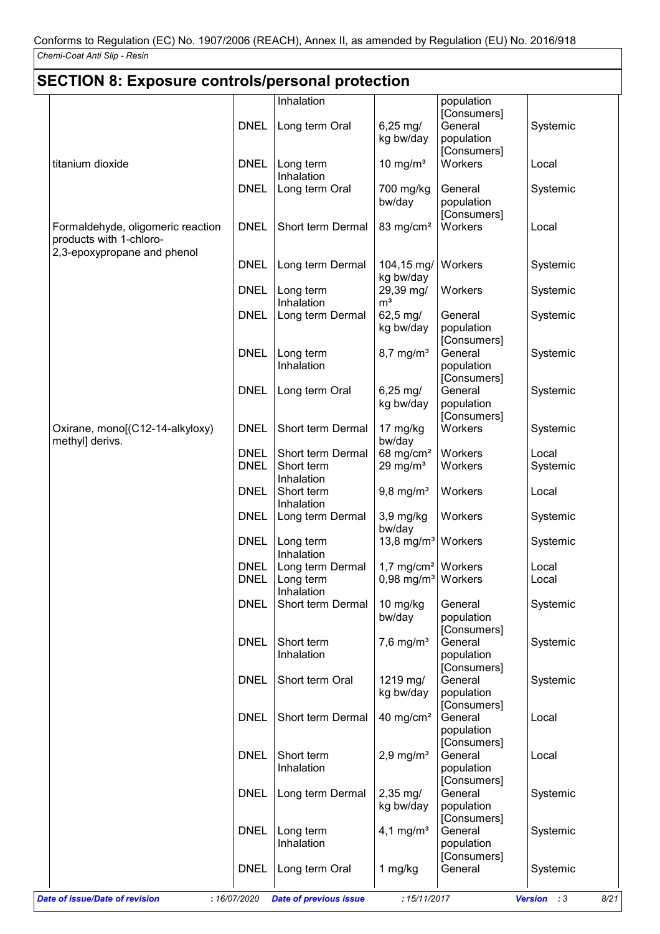| <b>SECTION 8: Exposure controls/personal protection</b>      |                            |                                                                                  |                                  |                                                     |                     |  |
|--------------------------------------------------------------|----------------------------|----------------------------------------------------------------------------------|----------------------------------|-----------------------------------------------------|---------------------|--|
|                                                              |                            | Inhalation                                                                       |                                  | population                                          |                     |  |
|                                                              | <b>DNEL</b>                | Long term Oral                                                                   | $6,25 \, \text{mg}$<br>kg bw/day | [Consumers]<br>General<br>population<br>[Consumers] | Systemic            |  |
| titanium dioxide                                             | <b>DNEL</b>                | Long term<br>Inhalation                                                          | 10 mg/ $m3$                      | Workers                                             | Local               |  |
|                                                              | <b>DNEL</b>                | Long term Oral                                                                   | 700 mg/kg<br>bw/day              | General<br>population                               | Systemic            |  |
| Formaldehyde, oligomeric reaction<br>products with 1-chloro- | <b>DNEL</b>                | Short term Dermal                                                                | 83 mg/cm <sup>2</sup>            | [Consumers]<br>Workers                              | Local               |  |
| 2,3-epoxypropane and phenol                                  | <b>DNEL</b>                | Long term Dermal                                                                 | 104,15 mg/<br>kg bw/day          | Workers                                             | Systemic            |  |
|                                                              | <b>DNEL</b>                | Long term<br>Inhalation                                                          | 29,39 mg/<br>m <sup>3</sup>      | Workers                                             | Systemic            |  |
|                                                              | <b>DNEL</b>                | Long term Dermal                                                                 | 62,5 mg/<br>kg bw/day            | General<br>population<br>[Consumers]                | Systemic            |  |
|                                                              | <b>DNEL</b>                | Long term<br>Inhalation                                                          | $8,7$ mg/m <sup>3</sup>          | General<br>population<br>[Consumers]                | Systemic            |  |
|                                                              | <b>DNEL</b>                | Long term Oral                                                                   | $6,25 \, \text{mg}$<br>kg bw/day | General<br>population<br>[Consumers]                | Systemic            |  |
| Oxirane, mono[(C12-14-alkyloxy)<br>methyl] derivs.           | <b>DNEL</b>                | Short term Dermal                                                                | 17 mg/kg<br>bw/day               | Workers                                             | Systemic            |  |
|                                                              | <b>DNEL</b><br><b>DNEL</b> | Short term Dermal<br>Short term<br>Inhalation                                    | 68 mg/cm $2$<br>29 mg/ $m3$      | Workers<br>Workers                                  | Local<br>Systemic   |  |
|                                                              | <b>DNEL</b>                | Short term<br>Inhalation                                                         | $9,8$ mg/m <sup>3</sup>          | Workers                                             | Local               |  |
|                                                              | <b>DNEL</b>                | Long term Dermal                                                                 | 3,9 mg/kg<br>bw/day              | Workers                                             | Systemic            |  |
|                                                              | <b>DNEL</b>                | Long term<br>Inhalation                                                          | 13,8 mg/m <sup>3</sup>           | Workers                                             | Systemic            |  |
|                                                              | <b>DNEL</b><br><b>DNEL</b> | Long term Dermal   $1,7$ mg/cm <sup>2</sup>   Workers<br>Long term<br>Inhalation | $0,98 \text{ mg/m}^3$            | Workers                                             | Local<br>Local      |  |
|                                                              | <b>DNEL</b>                | Short term Dermal                                                                | 10 mg/kg<br>bw/day               | General<br>population<br>[Consumers]                | Systemic            |  |
|                                                              | <b>DNEL</b>                | Short term<br>Inhalation                                                         | $7,6$ mg/m <sup>3</sup>          | General<br>population<br>[Consumers]                | Systemic            |  |
|                                                              | <b>DNEL</b>                | Short term Oral                                                                  | 1219 mg/<br>kg bw/day            | General<br>population                               | Systemic            |  |
|                                                              | <b>DNEL</b>                | Short term Dermal                                                                | 40 mg/cm <sup>2</sup>            | [Consumers]<br>General<br>population                | Local               |  |
|                                                              | <b>DNEL</b>                | Short term<br>Inhalation                                                         | $2,9$ mg/m <sup>3</sup>          | [Consumers]<br>General<br>population                | Local               |  |
|                                                              | <b>DNEL</b>                | Long term Dermal                                                                 | $2,35 \, \text{mg}$<br>kg bw/day | [Consumers]<br>General<br>population                | Systemic            |  |
|                                                              | <b>DNEL</b>                | Long term<br>Inhalation                                                          | 4,1 mg/ $m^3$                    | [Consumers]<br>General<br>population                | Systemic            |  |
|                                                              | <b>DNEL</b>                | Long term Oral                                                                   | 1 mg/kg                          | [Consumers]<br>General                              | Systemic            |  |
| <b>Date of issue/Date of revision</b>                        | : 16/07/2020               | <b>Date of previous issue</b>                                                    | : 15/11/2017                     |                                                     | Version : 3<br>8/21 |  |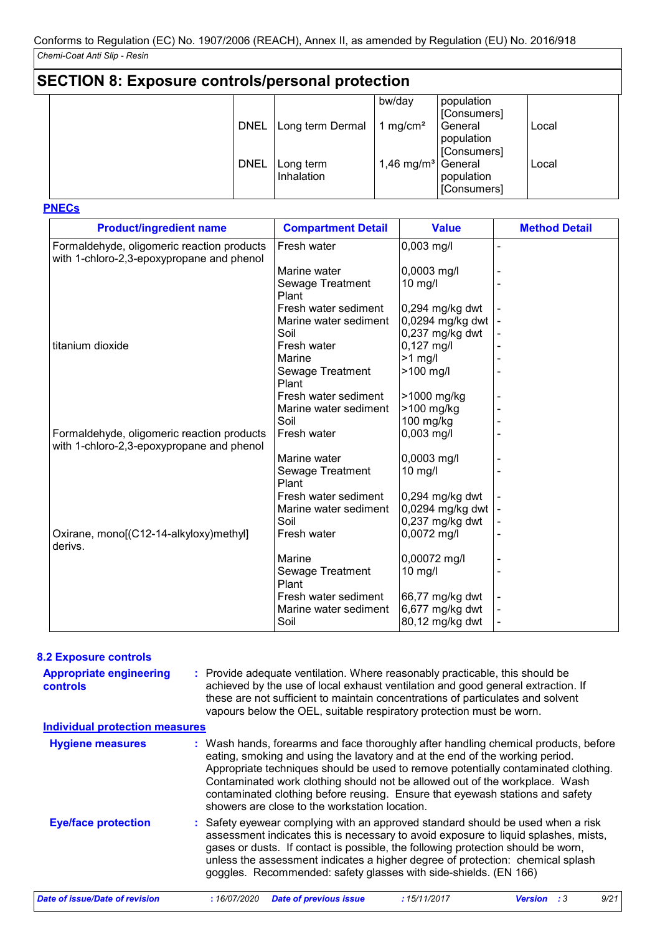| <b>SECTION 8: Exposure controls/personal protection</b> |             |                         |                        |                                      |       |  |
|---------------------------------------------------------|-------------|-------------------------|------------------------|--------------------------------------|-------|--|
|                                                         |             |                         | bw/day                 | population<br>[Consumers]            |       |  |
|                                                         | <b>DNEL</b> | Long term Dermal        | 1 mg/cm <sup>2</sup>   | General<br>population<br>[Consumers] | Local |  |
|                                                         | <b>DNEL</b> | Long term<br>Inhalation | 1,46 mg/m <sup>3</sup> | General<br>population<br>[Consumers] | Local |  |

**PNECs**

| <b>Product/ingredient name</b>                                                          | <b>Compartment Detail</b> | <b>Value</b>      | <b>Method Detail</b> |
|-----------------------------------------------------------------------------------------|---------------------------|-------------------|----------------------|
| Formaldehyde, oligomeric reaction products<br>with 1-chloro-2,3-epoxypropane and phenol | Fresh water               | $0,003$ mg/l      |                      |
|                                                                                         | Marine water              | 0,0003 mg/l       |                      |
|                                                                                         | Sewage Treatment<br>Plant | $10$ mg/l         |                      |
|                                                                                         | Fresh water sediment      | 0,294 mg/kg dwt   |                      |
|                                                                                         | Marine water sediment     | 0,0294 mg/kg dwt  |                      |
|                                                                                         | Soil                      | $0,237$ mg/kg dwt |                      |
| titanium dioxide                                                                        | Fresh water               | $0,127$ mg/l      |                      |
|                                                                                         | Marine                    | $>1$ mg/l         |                      |
|                                                                                         | Sewage Treatment<br>Plant | >100 mg/l         |                      |
|                                                                                         | Fresh water sediment      | >1000 mg/kg       |                      |
|                                                                                         | Marine water sediment     | >100 mg/kg        |                      |
|                                                                                         | Soil                      | 100 mg/kg         |                      |
| Formaldehyde, oligomeric reaction products<br>with 1-chloro-2,3-epoxypropane and phenol | Fresh water               | $0,003$ mg/l      |                      |
|                                                                                         | Marine water              | 0,0003 mg/l       |                      |
|                                                                                         | Sewage Treatment<br>Plant | $10$ mg/l         |                      |
|                                                                                         | Fresh water sediment      | 0,294 mg/kg dwt   |                      |
|                                                                                         | Marine water sediment     | 0,0294 mg/kg dwt  |                      |
|                                                                                         | Soil                      | $0,237$ mg/kg dwt |                      |
| Oxirane, mono[(C12-14-alkyloxy)methyl]<br>derivs.                                       | Fresh water               | 0,0072 mg/l       |                      |
|                                                                                         | Marine                    | 0,00072 mg/l      |                      |
|                                                                                         | Sewage Treatment<br>Plant | $10$ mg/l         |                      |
|                                                                                         | Fresh water sediment      | 66,77 mg/kg dwt   |                      |
|                                                                                         | Marine water sediment     | 6,677 mg/kg dwt   |                      |
|                                                                                         | Soil                      | 80,12 mg/kg dwt   |                      |

#### **8.2 Exposure controls**

| <b>Appropriate engineering</b><br><b>controls</b> | : Provide adequate ventilation. Where reasonably practicable, this should be<br>achieved by the use of local exhaust ventilation and good general extraction. If<br>these are not sufficient to maintain concentrations of particulates and solvent<br>vapours below the OEL, suitable respiratory protection must be worn.                                                                                                                                                 |
|---------------------------------------------------|-----------------------------------------------------------------------------------------------------------------------------------------------------------------------------------------------------------------------------------------------------------------------------------------------------------------------------------------------------------------------------------------------------------------------------------------------------------------------------|
| <b>Individual protection measures</b>             |                                                                                                                                                                                                                                                                                                                                                                                                                                                                             |
| <b>Hygiene measures</b>                           | : Wash hands, forearms and face thoroughly after handling chemical products, before<br>eating, smoking and using the lavatory and at the end of the working period.<br>Appropriate techniques should be used to remove potentially contaminated clothing.<br>Contaminated work clothing should not be allowed out of the workplace. Wash<br>contaminated clothing before reusing. Ensure that eyewash stations and safety<br>showers are close to the workstation location. |
| <b>Eye/face protection</b>                        | : Safety eyewear complying with an approved standard should be used when a risk<br>assessment indicates this is necessary to avoid exposure to liquid splashes, mists,<br>gases or dusts. If contact is possible, the following protection should be worn,<br>unless the assessment indicates a higher degree of protection: chemical splash<br>goggles. Recommended: safety glasses with side-shields. (EN 166)                                                            |
| Date of issue/Date of revision                    | <b>Date of previous issue</b><br>9/21<br>:16/07/2020<br>:15/11/2017<br><b>Version</b> : 3                                                                                                                                                                                                                                                                                                                                                                                   |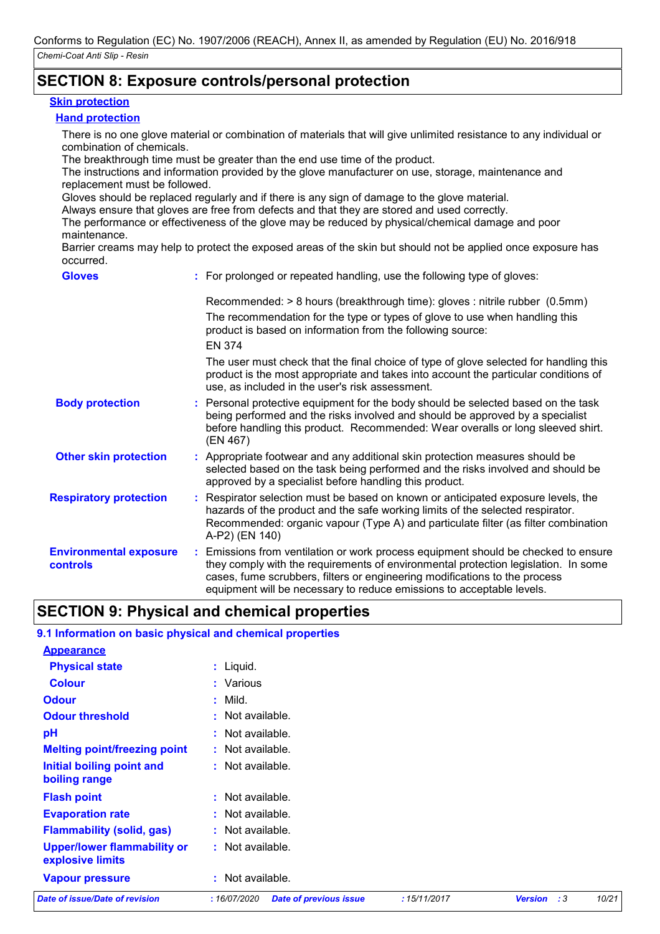### **SECTION 8: Exposure controls/personal protection**

#### **Skin protection**

### **Hand protection**

There is no one glove material or combination of materials that will give unlimited resistance to any individual or combination of chemicals.

The breakthrough time must be greater than the end use time of the product.

The instructions and information provided by the glove manufacturer on use, storage, maintenance and replacement must be followed.

Gloves should be replaced regularly and if there is any sign of damage to the glove material.

Always ensure that gloves are free from defects and that they are stored and used correctly.

The performance or effectiveness of the glove may be reduced by physical/chemical damage and poor maintenance.

Barrier creams may help to protect the exposed areas of the skin but should not be applied once exposure has occurred.

| <b>Gloves</b>                                    | : For prolonged or repeated handling, use the following type of gloves:                                                                                                                                                                                                                                                         |
|--------------------------------------------------|---------------------------------------------------------------------------------------------------------------------------------------------------------------------------------------------------------------------------------------------------------------------------------------------------------------------------------|
|                                                  | Recommended: > 8 hours (breakthrough time): gloves : nitrile rubber (0.5mm)<br>The recommendation for the type or types of glove to use when handling this<br>product is based on information from the following source:<br><b>EN 374</b>                                                                                       |
|                                                  | The user must check that the final choice of type of glove selected for handling this<br>product is the most appropriate and takes into account the particular conditions of<br>use, as included in the user's risk assessment.                                                                                                 |
| <b>Body protection</b>                           | : Personal protective equipment for the body should be selected based on the task<br>being performed and the risks involved and should be approved by a specialist<br>before handling this product. Recommended: Wear overalls or long sleeved shirt.<br>(EN 467)                                                               |
| <b>Other skin protection</b>                     | : Appropriate footwear and any additional skin protection measures should be<br>selected based on the task being performed and the risks involved and should be<br>approved by a specialist before handling this product.                                                                                                       |
| <b>Respiratory protection</b>                    | : Respirator selection must be based on known or anticipated exposure levels, the<br>hazards of the product and the safe working limits of the selected respirator.<br>Recommended: organic vapour (Type A) and particulate filter (as filter combination<br>A-P2) (EN 140)                                                     |
| <b>Environmental exposure</b><br><b>controls</b> | : Emissions from ventilation or work process equipment should be checked to ensure<br>they comply with the requirements of environmental protection legislation. In some<br>cases, fume scrubbers, filters or engineering modifications to the process<br>equipment will be necessary to reduce emissions to acceptable levels. |

### **SECTION 9: Physical and chemical properties**

| <b>Date of issue/Date of revision</b>                     | :16/07/2020<br><b>Date of previous issue</b> | :15/11/2017 | <b>Version</b><br>:3 | 10/21 |
|-----------------------------------------------------------|----------------------------------------------|-------------|----------------------|-------|
| <b>Vapour pressure</b>                                    | : Not available.                             |             |                      |       |
| <b>Upper/lower flammability or</b><br>explosive limits    | : Not available.                             |             |                      |       |
| <b>Flammability (solid, gas)</b>                          | : Not available.                             |             |                      |       |
| <b>Evaporation rate</b>                                   | : Not available.                             |             |                      |       |
| <b>Flash point</b>                                        | : Not available.                             |             |                      |       |
| Initial boiling point and<br>boiling range                | $:$ Not available.                           |             |                      |       |
| <b>Melting point/freezing point</b>                       | : Not available.                             |             |                      |       |
| pH                                                        | $:$ Not available.                           |             |                      |       |
| <b>Odour threshold</b>                                    | : Not available.                             |             |                      |       |
| <b>Odour</b>                                              | $:$ Mild.                                    |             |                      |       |
| <b>Colour</b>                                             | : Various                                    |             |                      |       |
| <b>Physical state</b>                                     | $:$ Liquid.                                  |             |                      |       |
| <b>Appearance</b>                                         |                                              |             |                      |       |
| 9.1 Information on basic physical and chemical properties |                                              |             |                      |       |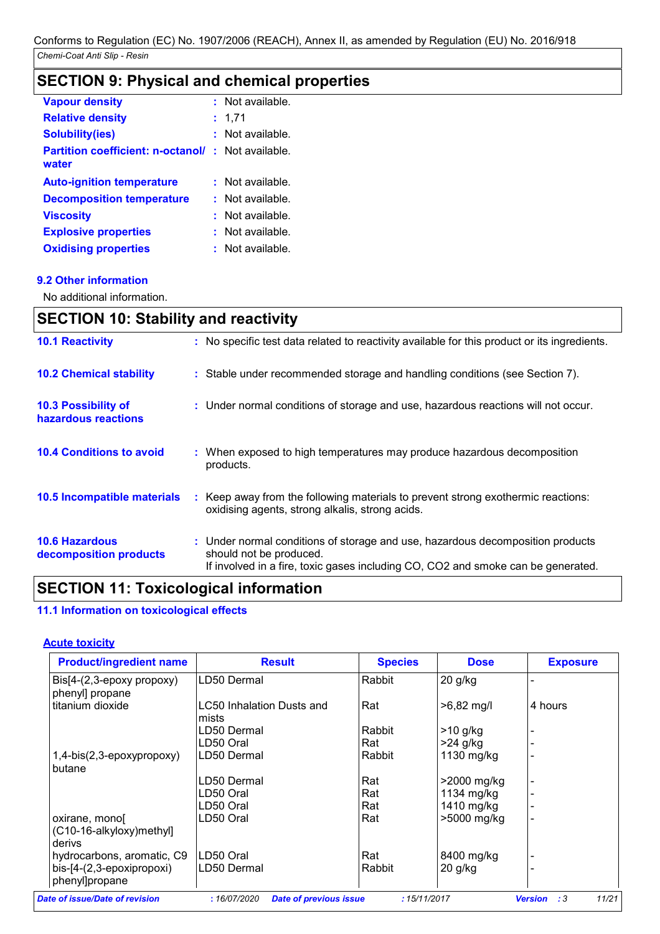## **SECTION 9: Physical and chemical properties**

| <b>Vapour density</b>                                             |    | : Not available. |
|-------------------------------------------------------------------|----|------------------|
| <b>Relative density</b>                                           | ÷. | 1,71             |
| <b>Solubility(ies)</b>                                            |    | Not available.   |
| <b>Partition coefficient: n-octanol/: Not available.</b><br>water |    |                  |
| <b>Auto-ignition temperature</b>                                  |    | : Not available. |
| <b>Decomposition temperature</b>                                  | t. | Not available.   |
| <b>Viscosity</b>                                                  |    | Not available.   |
| <b>Explosive properties</b>                                       |    | Not available.   |
| <b>Oxidising properties</b>                                       |    | Not available.   |

### **9.2 Other information**

No additional information.

| <b>SECTION 10: Stability and reactivity</b>       |                                                                                                                                                                                               |  |  |
|---------------------------------------------------|-----------------------------------------------------------------------------------------------------------------------------------------------------------------------------------------------|--|--|
| <b>10.1 Reactivity</b>                            | : No specific test data related to reactivity available for this product or its ingredients.                                                                                                  |  |  |
| <b>10.2 Chemical stability</b>                    | : Stable under recommended storage and handling conditions (see Section 7).                                                                                                                   |  |  |
| <b>10.3 Possibility of</b><br>hazardous reactions | : Under normal conditions of storage and use, hazardous reactions will not occur.                                                                                                             |  |  |
| <b>10.4 Conditions to avoid</b>                   | : When exposed to high temperatures may produce hazardous decomposition<br>products.                                                                                                          |  |  |
| 10.5 Incompatible materials                       | : Keep away from the following materials to prevent strong exothermic reactions:<br>oxidising agents, strong alkalis, strong acids.                                                           |  |  |
| <b>10.6 Hazardous</b><br>decomposition products   | : Under normal conditions of storage and use, hazardous decomposition products<br>should not be produced.<br>If involved in a fire, toxic gases including CO, CO2 and smoke can be generated. |  |  |

### **SECTION 11: Toxicological information**

### **11.1 Information on toxicological effects**

### **Acute toxicity**

| <b>Product/ingredient name</b>                      | <b>Result</b>                      | <b>Species</b> | <b>Dose</b>  | <b>Exposure</b> |
|-----------------------------------------------------|------------------------------------|----------------|--------------|-----------------|
| $Dis[4-(2,3-epoxy propoxy)]$<br>phenyl] propane     | LD50 Dermal                        | Rabbit         | $20$ g/kg    |                 |
| titanium dioxide                                    | LC50 Inhalation Dusts and<br>mists | Rat            | $>6,82$ mg/l | 4 hours         |
|                                                     | LD50 Dermal                        | Rabbit         | $>10$ g/kg   |                 |
|                                                     | LD50 Oral                          | Rat            | $>24$ g/kg   |                 |
| 1,4-bis(2,3-epoxypropoxy)<br>butane                 | LD50 Dermal                        | Rabbit         | 1130 mg/kg   |                 |
|                                                     | LD50 Dermal                        | Rat            | >2000 mg/kg  |                 |
|                                                     | LD50 Oral                          | Rat            | 1134 mg/kg   |                 |
|                                                     | LD50 Oral                          | Rat            | 1410 mg/kg   |                 |
| oxirane, mono<br>(C10-16-alkyloxy)methyl]<br>derivs | LD50 Oral                          | Rat            | >5000 mg/kg  |                 |
| hydrocarbons, aromatic, C9                          | LD50 Oral                          | Rat            | 8400 mg/kg   |                 |
| bis-[4-(2,3-epoxipropoxi)<br>phenyl]propane         | LD50 Dermal                        | Rabbit         | $20$ g/kg    |                 |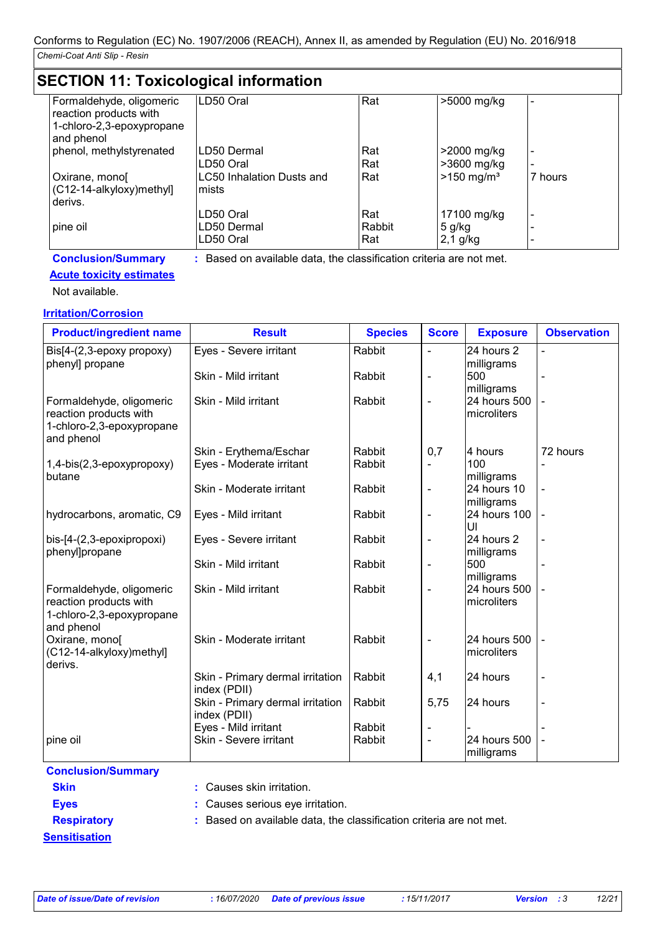### **SECTION 11: Toxicological information**

| Formaldehyde, oligomeric<br>reaction products with<br>1-chloro-2,3-epoxypropane<br>and phenol | LD50 Oral                                                           | Rat           | >5000 mg/kg              |         |
|-----------------------------------------------------------------------------------------------|---------------------------------------------------------------------|---------------|--------------------------|---------|
| phenol, methylstyrenated                                                                      | LD50 Dermal                                                         | Rat           | >2000 mg/kg              |         |
|                                                                                               | LD50 Oral                                                           | Rat           | $>3600$ mg/kg            |         |
| Oxirane, mono<br>(C12-14-alkyloxy)methyl]<br>derivs.                                          | <b>LC50 Inhalation Dusts and</b><br>mists                           | Rat           | $>150$ mg/m <sup>3</sup> | 7 hours |
|                                                                                               | LD50 Oral                                                           | Rat           | 17100 mg/kg              |         |
| pine oil                                                                                      | LD50 Dermal<br>LD50 Oral                                            | Rabbit<br>Rat | 5 g/kg<br>$2,1$ g/kg     |         |
| <b>Conclusion/Summary</b>                                                                     | : Based on available data, the classification criteria are not met. |               |                          |         |

### **Acute toxicity estimates**

Not available.

### **Irritation/Corrosion**

| <b>Product/ingredient name</b>                                                                | <b>Result</b>                                    | <b>Species</b> | <b>Score</b>             | <b>Exposure</b>             | <b>Observation</b> |
|-----------------------------------------------------------------------------------------------|--------------------------------------------------|----------------|--------------------------|-----------------------------|--------------------|
| Bis[4-(2,3-epoxy propoxy)<br>phenyl] propane                                                  | Eyes - Severe irritant                           | Rabbit         | $\blacksquare$           | 24 hours 2<br>milligrams    | $\blacksquare$     |
|                                                                                               | Skin - Mild irritant                             | Rabbit         | $\overline{\phantom{a}}$ | 500<br>milligrams           |                    |
| Formaldehyde, oligomeric<br>reaction products with<br>1-chloro-2,3-epoxypropane<br>and phenol | Skin - Mild irritant                             | Rabbit         | $\blacksquare$           | 24 hours 500<br>microliters |                    |
|                                                                                               | Skin - Erythema/Eschar                           | Rabbit         | 0,7                      | 4 hours                     | 72 hours           |
| 1,4-bis(2,3-epoxypropoxy)<br>butane                                                           | Eyes - Moderate irritant                         | Rabbit         |                          | 100<br>milligrams           |                    |
|                                                                                               | Skin - Moderate irritant                         | Rabbit         | $\overline{\phantom{a}}$ | 24 hours 10<br>milligrams   |                    |
| hydrocarbons, aromatic, C9                                                                    | Eyes - Mild irritant                             | Rabbit         | $\overline{\phantom{a}}$ | 24 hours 100<br>UI          |                    |
| bis-[4-(2,3-epoxipropoxi)<br>phenyl]propane                                                   | Eyes - Severe irritant                           | Rabbit         | $\overline{\phantom{a}}$ | 24 hours 2<br>milligrams    | $\blacksquare$     |
|                                                                                               | Skin - Mild irritant                             | Rabbit         | $\overline{\phantom{a}}$ | 500<br>milligrams           |                    |
| Formaldehyde, oligomeric<br>reaction products with<br>1-chloro-2,3-epoxypropane<br>and phenol | Skin - Mild irritant                             | Rabbit         | $\overline{\phantom{a}}$ | 24 hours 500<br>microliters |                    |
| Oxirane, mono[<br>(C12-14-alkyloxy)methyl]<br>derivs.                                         | Skin - Moderate irritant                         | Rabbit         | $\blacksquare$           | 24 hours 500<br>microliters |                    |
|                                                                                               | Skin - Primary dermal irritation<br>index (PDII) | Rabbit         | 4,1                      | 24 hours                    |                    |
|                                                                                               | Skin - Primary dermal irritation<br>index (PDII) | Rabbit         | 5,75                     | 24 hours                    | $\blacksquare$     |
|                                                                                               | Eyes - Mild irritant                             | Rabbit         |                          |                             |                    |
| pine oil                                                                                      | Skin - Severe irritant                           | Rabbit         | $\blacksquare$           | 24 hours 500<br>milligrams  |                    |

### **Conclusion/Summary**

- **Skin :** Causes skin irritation.
- 
- 
- 
- **Eyes :** Causes serious eye irritation.

**Sensitisation**

**Respiratory :** Based on available data, the classification criteria are not met.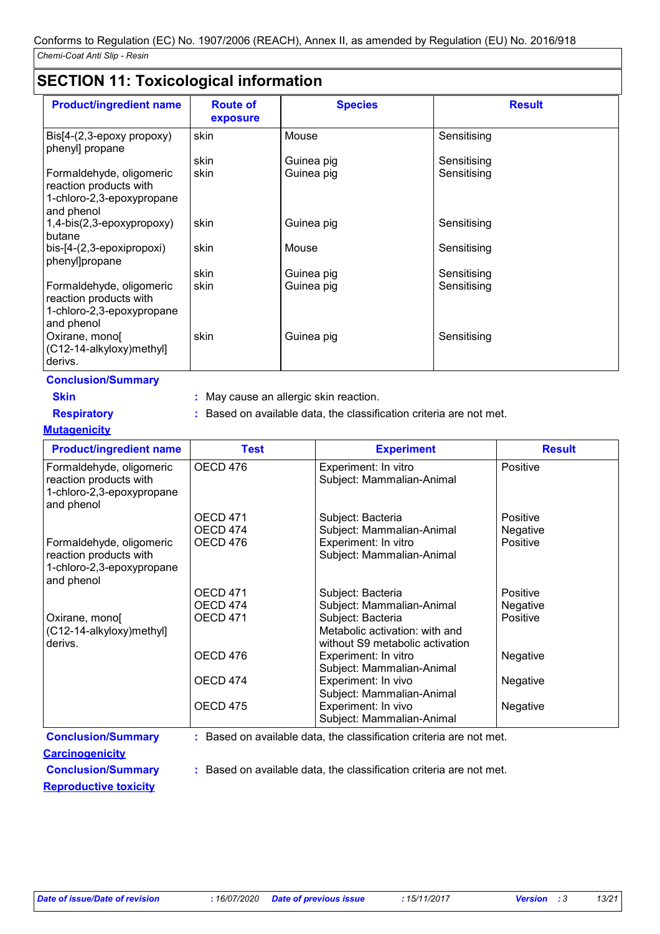### **SECTION 11: Toxicological information**

|                                                                                               | $\ldots$ . $\ldots$ . $\ldots$ . $\ldots$ . $\ldots$ |                |               |
|-----------------------------------------------------------------------------------------------|------------------------------------------------------|----------------|---------------|
| <b>Product/ingredient name</b>                                                                | <b>Route of</b><br>exposure                          | <b>Species</b> | <b>Result</b> |
| $\text{Bis}[4-(2,3-\text{epoxy} \text{ property})]$<br>phenyl] propane                        | skin                                                 | Mouse          | Sensitising   |
|                                                                                               | skin                                                 | Guinea pig     | Sensitising   |
| Formaldehyde, oligomeric<br>reaction products with<br>1-chloro-2,3-epoxypropane<br>and phenol | skin                                                 | Guinea pig     | Sensitising   |
| 1,4-bis(2,3-epoxypropoxy)<br>butane                                                           | skin                                                 | Guinea pig     | Sensitising   |
| bis-[4-(2,3-epoxipropoxi)<br>phenyl]propane                                                   | skin                                                 | Mouse          | Sensitising   |
|                                                                                               | skin                                                 | Guinea pig     | Sensitising   |
| Formaldehyde, oligomeric<br>reaction products with<br>1-chloro-2,3-epoxypropane<br>and phenol | skin                                                 | Guinea pig     | Sensitising   |
| Oxirane, mono<br>(C12-14-alkyloxy)methyl]<br>derivs.                                          | skin                                                 | Guinea pig     | Sensitising   |

**Conclusion/Summary**

**Skin :** May cause an allergic skin reaction.

**Respiratory :** Based on available data, the classification criteria are not met.

**Mutagenicity**

| <b>Product/ingredient name</b>                                                                | <b>Test</b>     | <b>Experiment</b>                                                   | <b>Result</b> |
|-----------------------------------------------------------------------------------------------|-----------------|---------------------------------------------------------------------|---------------|
| Formaldehyde, oligomeric<br>reaction products with<br>1-chloro-2,3-epoxypropane<br>and phenol | OECD 476        | Experiment: In vitro<br>Subject: Mammalian-Animal                   | Positive      |
|                                                                                               | <b>OECD 471</b> | Subject: Bacteria                                                   | Positive      |
|                                                                                               | OECD 474        | Subject: Mammalian-Animal                                           | Negative      |
| Formaldehyde, oligomeric<br>reaction products with                                            | OECD 476        | Experiment: In vitro<br>Subject: Mammalian-Animal                   | Positive      |
| 1-chloro-2,3-epoxypropane                                                                     |                 |                                                                     |               |
| and phenol                                                                                    |                 |                                                                     |               |
|                                                                                               | <b>OECD 471</b> | Subject: Bacteria                                                   | Positive      |
|                                                                                               | OECD 474        | Subject: Mammalian-Animal                                           | Negative      |
| Oxirane, mono<br>(C12-14-alkyloxy)methyl]                                                     | OECD 471        | Subject: Bacteria<br>Metabolic activation: with and                 | Positive      |
| derivs.                                                                                       |                 | without S9 metabolic activation                                     |               |
|                                                                                               | OECD 476        | Experiment: In vitro<br>Subject: Mammalian-Animal                   | Negative      |
|                                                                                               | OECD 474        | Experiment: In vivo<br>Subject: Mammalian-Animal                    | Negative      |
|                                                                                               | <b>OECD 475</b> | Experiment: In vivo<br>Subject: Mammalian-Animal                    | Negative      |
| <b>Conclusion/Summary</b>                                                                     |                 | : Based on available data, the classification criteria are not met. |               |

**Carcinogenicity**

**Conclusion/Summary :** Based on available data, the classification criteria are not met.

**Reproductive toxicity**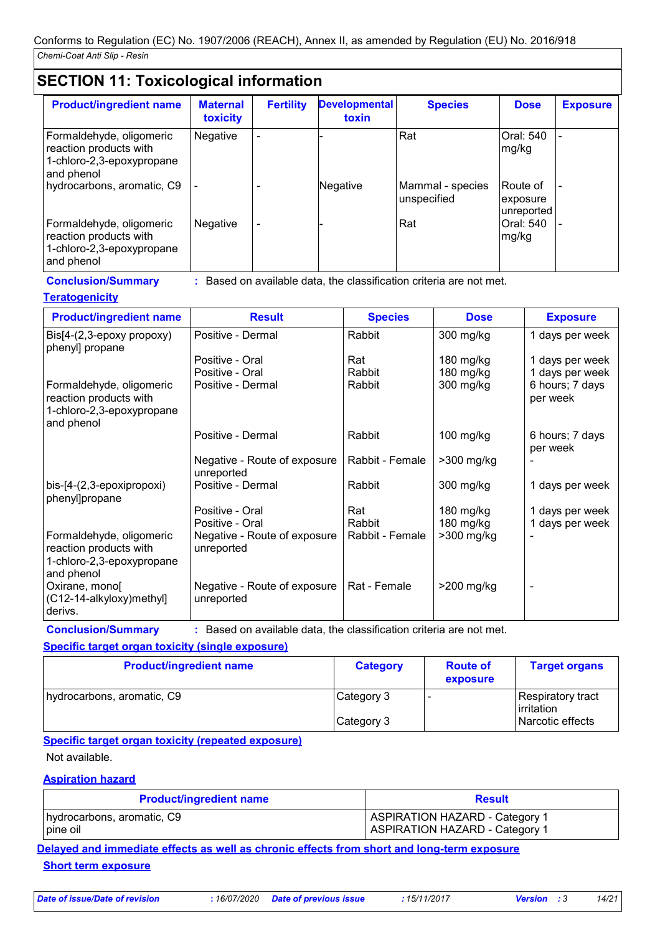### **SECTION 11: Toxicological information**

| <b>Product/ingredient name</b>                                                                | <b>Maternal</b><br>toxicity | <b>Fertility</b>         | <b>Developmental</b><br>toxin | <b>Species</b>                  | <b>Dose</b>                        | <b>Exposure</b> |
|-----------------------------------------------------------------------------------------------|-----------------------------|--------------------------|-------------------------------|---------------------------------|------------------------------------|-----------------|
| Formaldehyde, oligomeric<br>reaction products with<br>1-chloro-2,3-epoxypropane<br>and phenol | Negative                    |                          |                               | Rat                             | Oral: 540<br>mg/kg                 |                 |
| hydrocarbons, aromatic, C9                                                                    |                             |                          | Negative                      | Mammal - species<br>unspecified | Route of<br>exposure<br>unreported |                 |
| Formaldehyde, oligomeric<br>reaction products with<br>1-chloro-2,3-epoxypropane<br>and phenol | Negative                    | $\overline{\phantom{a}}$ |                               | Rat                             | Oral: 540<br>mg/kg                 |                 |

**Conclusion/Summary :** Based on available data, the classification criteria are not met.

### **Teratogenicity**

| <b>Product/ingredient name</b>                                                                | <b>Result</b>                              | <b>Species</b>  | <b>Dose</b>  | <b>Exposure</b>             |
|-----------------------------------------------------------------------------------------------|--------------------------------------------|-----------------|--------------|-----------------------------|
| $\text{Bis}[4-(2,3-\text{epoxy} \text{ property})]$<br>phenyl] propane                        | Positive - Dermal                          | Rabbit          | 300 mg/kg    | 1 days per week             |
|                                                                                               | Positive - Oral                            | Rat             | $180$ mg/kg  | 1 days per week             |
|                                                                                               | Positive - Oral                            | Rabbit          | 180 mg/kg    | 1 days per week             |
| Formaldehyde, oligomeric<br>reaction products with<br>1-chloro-2,3-epoxypropane<br>and phenol | Positive - Dermal                          | Rabbit          | 300 mg/kg    | 6 hours; 7 days<br>per week |
|                                                                                               | Positive - Dermal                          | Rabbit          | $100$ mg/kg  | 6 hours; 7 days<br>per week |
|                                                                                               | Negative - Route of exposure<br>unreported | Rabbit - Female | $>300$ mg/kg |                             |
| bis-[4-(2,3-epoxipropoxi)<br>phenyl]propane                                                   | Positive - Dermal                          | Rabbit          | 300 mg/kg    | 1 days per week             |
|                                                                                               | Positive - Oral                            | Rat             | 180 mg/kg    | 1 days per week             |
|                                                                                               | Positive - Oral                            | Rabbit          | 180 mg/kg    | 1 days per week             |
| Formaldehyde, oligomeric<br>reaction products with                                            | Negative - Route of exposure<br>unreported | Rabbit - Female | $>300$ mg/kg |                             |
| 1-chloro-2,3-epoxypropane                                                                     |                                            |                 |              |                             |
| and phenol<br>Oxirane, mono<br>(C12-14-alkyloxy) methyl<br>derivs.                            | Negative - Route of exposure<br>unreported | Rat - Female    | $>200$ mg/kg |                             |

**Conclusion/Summary :** Based on available data, the classification criteria are not met.

### **Specific target organ toxicity (single exposure)**

| <b>Product/ingredient name</b> | <b>Category</b> | <b>Route of</b><br>exposure | <b>Target organs</b>            |
|--------------------------------|-----------------|-----------------------------|---------------------------------|
| hydrocarbons, aromatic, C9     | Category 3      |                             | Respiratory tract<br>irritation |
|                                | Category 3      |                             | Narcotic effects                |

### **Specific target organ toxicity (repeated exposure)**

Not available.

### **Aspiration hazard**

| <b>Product/ingredient name</b> | <b>Result</b>                         |
|--------------------------------|---------------------------------------|
| hydrocarbons, aromatic, C9     | ASPIRATION HAZARD - Category 1        |
| pine oil                       | <b>ASPIRATION HAZARD - Category 1</b> |

**Delayed and immediate effects as well as chronic effects from short and long-term exposure Short term exposure**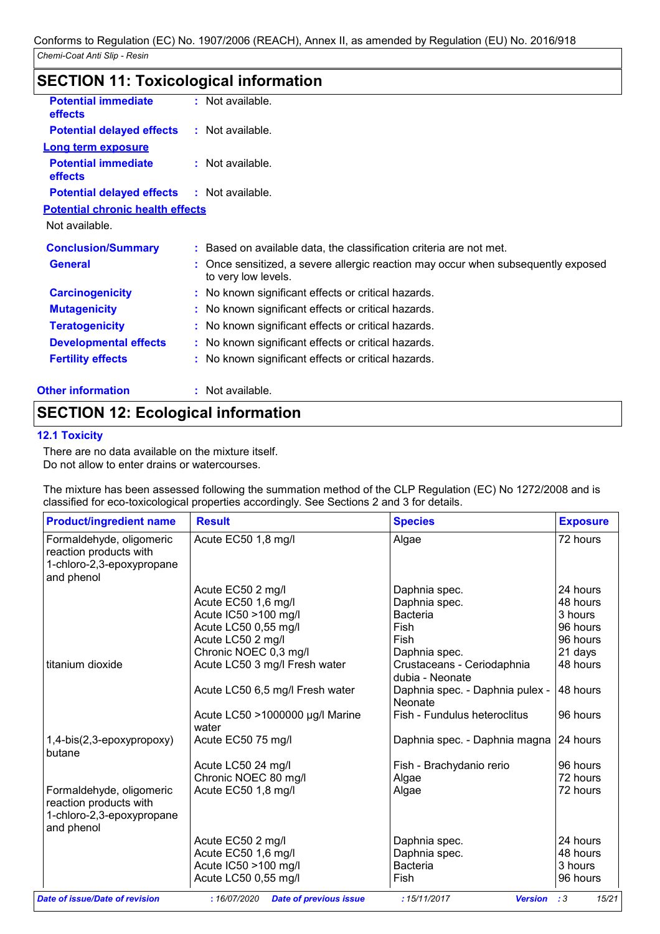| <b>SECTION 11: Toxicological information</b> |                                                                                                          |
|----------------------------------------------|----------------------------------------------------------------------------------------------------------|
| <b>Potential immediate</b><br>effects        | : Not available.                                                                                         |
| <b>Potential delayed effects</b>             | : Not available.                                                                                         |
| <b>Long term exposure</b>                    |                                                                                                          |
| <b>Potential immediate</b><br>effects        | $:$ Not available.                                                                                       |
| <b>Potential delayed effects</b>             | : Not available.                                                                                         |
| <b>Potential chronic health effects</b>      |                                                                                                          |
| Not available.                               |                                                                                                          |
| <b>Conclusion/Summary</b>                    | : Based on available data, the classification criteria are not met.                                      |
| <b>General</b>                               | : Once sensitized, a severe allergic reaction may occur when subsequently exposed<br>to very low levels. |
| <b>Carcinogenicity</b>                       | : No known significant effects or critical hazards.                                                      |
| <b>Mutagenicity</b>                          | : No known significant effects or critical hazards.                                                      |
| <b>Teratogenicity</b>                        | : No known significant effects or critical hazards.                                                      |
| <b>Developmental effects</b>                 | : No known significant effects or critical hazards.                                                      |
| <b>Fertility effects</b>                     | : No known significant effects or critical hazards.                                                      |
| <b>Other information</b>                     | : Not available.                                                                                         |

### **SECTION 12: Ecological information**

### **12.1 Toxicity**

There are no data available on the mixture itself. Do not allow to enter drains or watercourses.

The mixture has been assessed following the summation method of the CLP Regulation (EC) No 1272/2008 and is classified for eco-toxicological properties accordingly. See Sections 2 and 3 for details.

| <b>Product/ingredient name</b>                                                                | <b>Result</b>                            | <b>Species</b>                                | <b>Exposure</b> |
|-----------------------------------------------------------------------------------------------|------------------------------------------|-----------------------------------------------|-----------------|
| Formaldehyde, oligomeric<br>reaction products with<br>1-chloro-2,3-epoxypropane<br>and phenol | Acute EC50 1,8 mg/l                      | Algae                                         | 72 hours        |
|                                                                                               | Acute EC50 2 mg/l                        | Daphnia spec.                                 | 24 hours        |
|                                                                                               | Acute EC50 1,6 mg/l                      | Daphnia spec.                                 | 48 hours        |
|                                                                                               | Acute IC50 >100 mg/l                     | <b>Bacteria</b>                               | 3 hours         |
|                                                                                               | Acute LC50 0,55 mg/l                     | Fish                                          | 96 hours        |
|                                                                                               | Acute LC50 2 mg/l                        | Fish                                          | 96 hours        |
|                                                                                               | Chronic NOEC 0,3 mg/l                    | Daphnia spec.                                 | 21 days         |
| titanium dioxide                                                                              | Acute LC50 3 mg/l Fresh water            | Crustaceans - Ceriodaphnia<br>dubia - Neonate | 48 hours        |
|                                                                                               | Acute LC50 6,5 mg/l Fresh water          | Daphnia spec. - Daphnia pulex -<br>Neonate    | 48 hours        |
|                                                                                               | Acute LC50 >1000000 µg/l Marine<br>water | Fish - Fundulus heteroclitus                  | 96 hours        |
| 1,4-bis(2,3-epoxypropoxy)<br>butane                                                           | Acute EC50 75 mg/l                       | Daphnia spec. - Daphnia magna 24 hours        |                 |
|                                                                                               | Acute LC50 24 mg/l                       | Fish - Brachydanio rerio                      | 96 hours        |
|                                                                                               | Chronic NOEC 80 mg/l                     | Algae                                         | 72 hours        |
| Formaldehyde, oligomeric<br>reaction products with<br>1-chloro-2,3-epoxypropane<br>and phenol | Acute EC50 1,8 mg/l                      | Algae                                         | 72 hours        |
|                                                                                               | Acute EC50 2 mg/l                        | Daphnia spec.                                 | 24 hours        |
|                                                                                               | Acute EC50 1,6 mg/l                      | Daphnia spec.                                 | 48 hours        |
|                                                                                               | Acute IC50 >100 mg/l                     | <b>Bacteria</b>                               | 3 hours         |
|                                                                                               | Acute LC50 0,55 mg/l                     | Fish                                          | 96 hours        |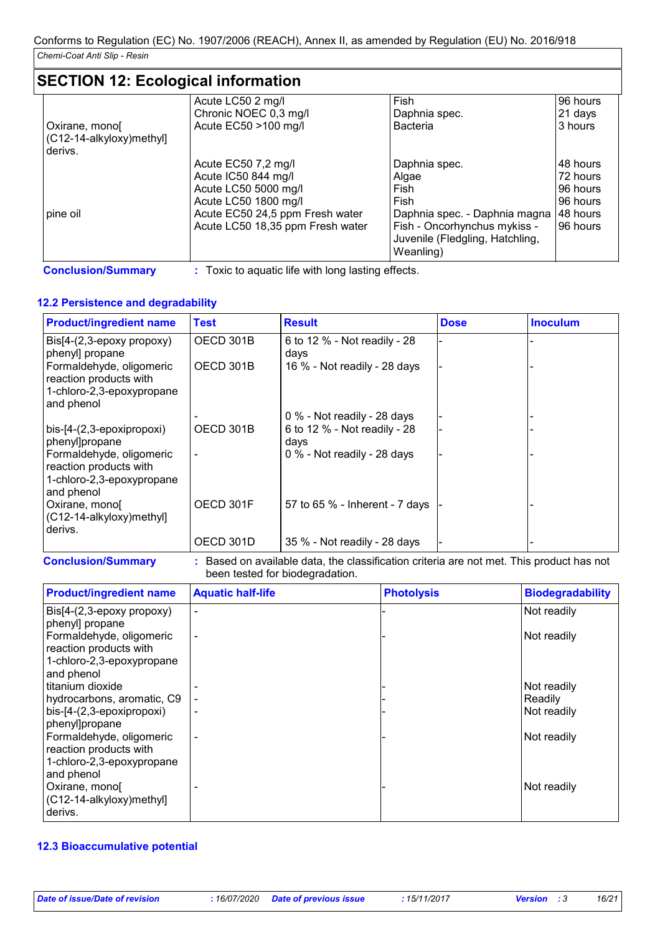## **SECTION 12: Ecological information**

|                          | Acute LC50 2 mg/l                | Fish                            | 96 hours  |
|--------------------------|----------------------------------|---------------------------------|-----------|
|                          | Chronic NOEC 0,3 mg/l            | Daphnia spec.                   | 21 days   |
| Oxirane, mono[           | Acute EC50 >100 mg/l             | <b>Bacteria</b>                 | 3 hours   |
| (C12-14-alkyloxy)methyl] |                                  |                                 |           |
| derivs.                  |                                  |                                 |           |
|                          | Acute EC50 7,2 mg/l              | Daphnia spec.                   | 148 hours |
|                          | Acute IC50 844 mg/l              | Algae                           | 72 hours  |
|                          | Acute LC50 5000 mg/l             | Fish                            | 96 hours  |
|                          | Acute LC50 1800 mg/l             | Fish                            | 96 hours  |
| pine oil                 | Acute EC50 24,5 ppm Fresh water  | Daphnia spec. - Daphnia magna   | 48 hours  |
|                          | Acute LC50 18,35 ppm Fresh water | Fish - Oncorhynchus mykiss -    | 96 hours  |
|                          |                                  | Juvenile (Fledgling, Hatchling, |           |
|                          |                                  | Weanling)                       |           |

**Conclusion/Summary :** Toxic to aquatic life with long lasting effects.

### **12.2 Persistence and degradability**

| <b>Product/ingredient name</b>                                                                | <b>Test</b> | <b>Result</b>                        | <b>Dose</b> | <b>Inoculum</b> |
|-----------------------------------------------------------------------------------------------|-------------|--------------------------------------|-------------|-----------------|
| Bis[4-(2,3-epoxy propoxy)<br>phenyl] propane                                                  | OECD 301B   | 6 to 12 % - Not readily - 28<br>days |             |                 |
| Formaldehyde, oligomeric<br>reaction products with<br>1-chloro-2,3-epoxypropane<br>and phenol | OECD 301B   | 16 % - Not readily - 28 days         |             |                 |
|                                                                                               |             | 0 % - Not readily - 28 days          |             |                 |
| bis-[4-(2,3-epoxipropoxi)<br>phenyl]propane                                                   | OECD 301B   | 6 to 12 % - Not readily - 28<br>days |             |                 |
| Formaldehyde, oligomeric<br>reaction products with<br>1-chloro-2,3-epoxypropane<br>and phenol |             | 0 % - Not readily - 28 days          |             |                 |
| Oxirane, mono<br>(C12-14-alkyloxy)methyl]<br>derivs.                                          | OECD 301F   | 57 to 65 % - Inherent - 7 days       |             |                 |
|                                                                                               | OECD 301D   | 35 % - Not readily - 28 days         |             |                 |

**Conclusion/Summary :** Based on available data, the classification criteria are not met. This product has not been tested for biodegradation.

| <b>Product/ingredient name</b> | <b>Aquatic half-life</b> | <b>Photolysis</b> | <b>Biodegradability</b> |
|--------------------------------|--------------------------|-------------------|-------------------------|
| Bis[4-(2,3-epoxy propoxy)      | $\overline{\phantom{a}}$ |                   | Not readily             |
| phenyl] propane                |                          |                   |                         |
| Formaldehyde, oligomeric       |                          |                   | Not readily             |
| reaction products with         |                          |                   |                         |
| 1-chloro-2,3-epoxypropane      |                          |                   |                         |
| and phenol                     |                          |                   |                         |
| titanium dioxide               |                          |                   | Not readily             |
| hydrocarbons, aromatic, C9     |                          |                   | Readily                 |
| bis-[4-(2,3-epoxipropoxi)      | $\overline{\phantom{a}}$ |                   | Not readily             |
| phenyl]propane                 |                          |                   |                         |
| Formaldehyde, oligomeric       | $\overline{\phantom{a}}$ |                   | Not readily             |
| reaction products with         |                          |                   |                         |
| 1-chloro-2,3-epoxypropane      |                          |                   |                         |
| and phenol                     |                          |                   |                         |
| Oxirane, mono                  |                          |                   | Not readily             |
| (C12-14-alkyloxy)methyl]       |                          |                   |                         |
| derivs.                        |                          |                   |                         |

#### **12.3 Bioaccumulative potential**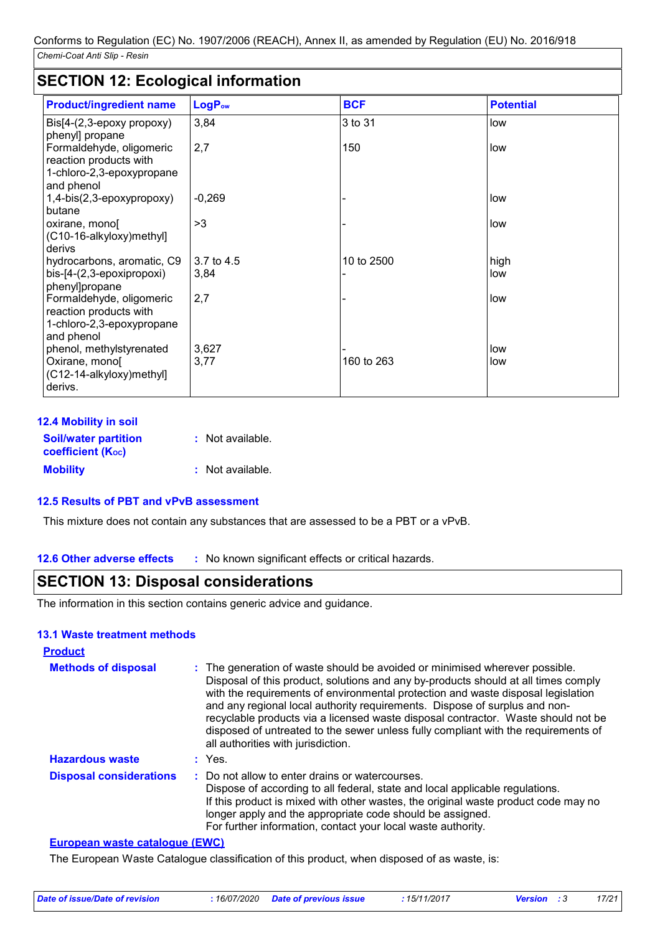### **SECTION 12: Ecological information**

| <b>Product/ingredient name</b>                                                                | LogP <sub>ow</sub> | <b>BCF</b> | <b>Potential</b> |
|-----------------------------------------------------------------------------------------------|--------------------|------------|------------------|
| $\text{Bis}[4-(2,3-\text{epoxy} \text{ property})]$<br>phenyl] propane                        | 3,84               | 3 to 31    | low              |
| Formaldehyde, oligomeric<br>reaction products with<br>1-chloro-2,3-epoxypropane<br>and phenol | 2,7                | 150        | low              |
| 1,4-bis(2,3-epoxypropoxy)<br>butane                                                           | $-0,269$           |            | low              |
| oxirane, monol<br>(C10-16-alkyloxy) methyl]<br>derivs                                         | >3                 |            | low              |
| hydrocarbons, aromatic, C9<br>bis-[4-(2,3-epoxipropoxi)<br>phenyl]propane                     | 3.7 to 4.5<br>3,84 | 10 to 2500 | high<br>low      |
| Formaldehyde, oligomeric<br>reaction products with<br>1-chloro-2,3-epoxypropane<br>and phenol | 2,7                |            | low              |
| phenol, methylstyrenated<br>Oxirane, mono<br>(C12-14-alkyloxy)methyl]<br>derivs.              | 3,627<br>3,77      | 160 to 263 | low<br>low       |

| <b>12.4 Mobility in soil</b>                            |                  |
|---------------------------------------------------------|------------------|
| <b>Soil/water partition</b><br><b>coefficient (Koc)</b> | : Not available. |
| <b>Mobility</b>                                         | : Not available. |

### **12.5 Results of PBT and vPvB assessment**

This mixture does not contain any substances that are assessed to be a PBT or a vPvB.

**12.6 Other adverse effects** : No known significant effects or critical hazards.

### **SECTION 13: Disposal considerations**

The information in this section contains generic advice and guidance.

#### **13.1 Waste treatment methods**

| <b>Product</b>                 |                                                                                                                                                                                                                                                                                                                                                                                                                                                                                                                                                      |
|--------------------------------|------------------------------------------------------------------------------------------------------------------------------------------------------------------------------------------------------------------------------------------------------------------------------------------------------------------------------------------------------------------------------------------------------------------------------------------------------------------------------------------------------------------------------------------------------|
| <b>Methods of disposal</b>     | : The generation of waste should be avoided or minimised wherever possible.<br>Disposal of this product, solutions and any by-products should at all times comply<br>with the requirements of environmental protection and waste disposal legislation<br>and any regional local authority requirements. Dispose of surplus and non-<br>recyclable products via a licensed waste disposal contractor. Waste should not be<br>disposed of untreated to the sewer unless fully compliant with the requirements of<br>all authorities with jurisdiction. |
| <b>Hazardous waste</b>         | : Yes.                                                                                                                                                                                                                                                                                                                                                                                                                                                                                                                                               |
| <b>Disposal considerations</b> | : Do not allow to enter drains or watercourses.<br>Dispose of according to all federal, state and local applicable regulations.<br>If this product is mixed with other wastes, the original waste product code may no<br>longer apply and the appropriate code should be assigned.<br>For further information, contact your local waste authority.                                                                                                                                                                                                   |

### **European waste catalogue (EWC)**

The European Waste Catalogue classification of this product, when disposed of as waste, is:

| : 16/07/2020 Date of previous issue<br>Date of issue/Date of revision<br>: 15/11/2017<br><b>Version</b> : 3 |  |  |  |  |  |  | 17/21 |
|-------------------------------------------------------------------------------------------------------------|--|--|--|--|--|--|-------|
|-------------------------------------------------------------------------------------------------------------|--|--|--|--|--|--|-------|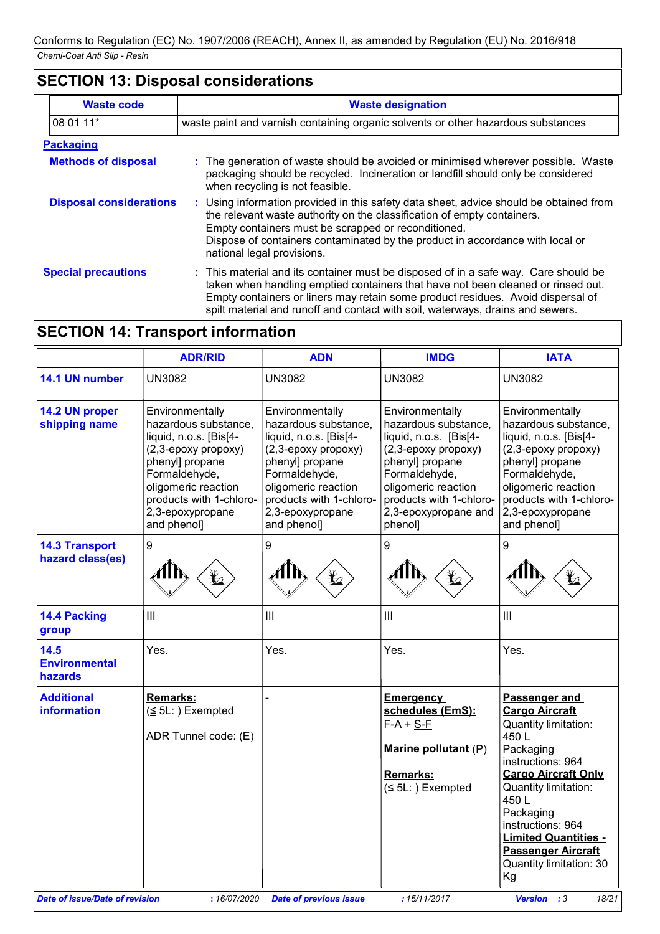### **SECTION 13: Disposal considerations**

| <b>Waste code</b>              | <b>Waste designation</b>                                                                                                                                                                                                                                                                                                                     |  |  |
|--------------------------------|----------------------------------------------------------------------------------------------------------------------------------------------------------------------------------------------------------------------------------------------------------------------------------------------------------------------------------------------|--|--|
| 08 01 11*                      | waste paint and varnish containing organic solvents or other hazardous substances                                                                                                                                                                                                                                                            |  |  |
| <b>Packaging</b>               |                                                                                                                                                                                                                                                                                                                                              |  |  |
| <b>Methods of disposal</b>     | The generation of waste should be avoided or minimised wherever possible. Waste<br>packaging should be recycled. Incineration or landfill should only be considered<br>when recycling is not feasible.                                                                                                                                       |  |  |
| <b>Disposal considerations</b> | : Using information provided in this safety data sheet, advice should be obtained from<br>the relevant waste authority on the classification of empty containers.<br>Empty containers must be scrapped or reconditioned.<br>Dispose of containers contaminated by the product in accordance with local or<br>national legal provisions.      |  |  |
| <b>Special precautions</b>     | : This material and its container must be disposed of in a safe way. Care should be<br>taken when handling emptied containers that have not been cleaned or rinsed out.<br>Empty containers or liners may retain some product residues. Avoid dispersal of<br>spilt material and runoff and contact with soil, waterways, drains and sewers. |  |  |

## **SECTION 14: Transport information**

| 14.1 UN number<br><b>UN3082</b><br><b>UN3082</b><br>14.2 UN proper<br>Environmentally<br>hazardous substance,<br>shipping name<br>liquid, n.o.s. [Bis[4-<br>(2,3-epoxy propoxy)<br>phenyl] propane<br>Formaldehyde,<br>oligomeric reaction<br>products with 1-chloro-<br>2,3-epoxypropane<br>and phenol]<br>and phenol]<br>9<br>9<br><b>14.3 Transport</b><br>hazard class(es)<br>III<br>14.4 Packing<br>III<br>group<br>Yes.<br>14.5<br>Yes.<br><b>Environmental</b><br>hazards<br><b>Additional</b><br><b>Remarks:</b><br>information<br>$(5L:)$ Exempted<br>ADR Tunnel code: (E) | <b>UN3082</b><br>Environmentally<br>hazardous substance,<br>liquid, n.o.s. [Bis[4-<br>(2,3-epoxy propoxy)<br>phenyl] propane<br>Formaldehyde,<br>oligomeric reaction<br>products with 1-chloro- | <b>UN3082</b><br>Environmentally<br>hazardous substance,<br>liquid, n.o.s. [Bis[4-<br>(2,3-epoxy propoxy)<br>phenyl] propane<br>Formaldehyde, | Environmentally<br>hazardous substance,<br>liquid, n.o.s. [Bis[4-<br>(2,3-epoxy propoxy)<br>phenyl] propane<br>Formaldehyde,                                                                                                                          |
|-------------------------------------------------------------------------------------------------------------------------------------------------------------------------------------------------------------------------------------------------------------------------------------------------------------------------------------------------------------------------------------------------------------------------------------------------------------------------------------------------------------------------------------------------------------------------------------|-------------------------------------------------------------------------------------------------------------------------------------------------------------------------------------------------|-----------------------------------------------------------------------------------------------------------------------------------------------|-------------------------------------------------------------------------------------------------------------------------------------------------------------------------------------------------------------------------------------------------------|
|                                                                                                                                                                                                                                                                                                                                                                                                                                                                                                                                                                                     |                                                                                                                                                                                                 |                                                                                                                                               |                                                                                                                                                                                                                                                       |
|                                                                                                                                                                                                                                                                                                                                                                                                                                                                                                                                                                                     | 2,3-epoxypropane<br>phenol]                                                                                                                                                                     | oligomeric reaction<br>products with 1-chloro-<br>2,3-epoxypropane and                                                                        | oligomeric reaction<br>products with 1-chloro-<br>2,3-epoxypropane<br>and phenol]                                                                                                                                                                     |
|                                                                                                                                                                                                                                                                                                                                                                                                                                                                                                                                                                                     | 9                                                                                                                                                                                               | 9                                                                                                                                             |                                                                                                                                                                                                                                                       |
|                                                                                                                                                                                                                                                                                                                                                                                                                                                                                                                                                                                     | Ш                                                                                                                                                                                               | III                                                                                                                                           |                                                                                                                                                                                                                                                       |
|                                                                                                                                                                                                                                                                                                                                                                                                                                                                                                                                                                                     | Yes.                                                                                                                                                                                            | Yes.                                                                                                                                          |                                                                                                                                                                                                                                                       |
|                                                                                                                                                                                                                                                                                                                                                                                                                                                                                                                                                                                     | <b>Emergency</b><br>$F-A + S-F$<br><b>Remarks:</b>                                                                                                                                              | schedules (EmS):<br>450L<br>Marine pollutant (P)<br>Packaging<br>$(\leq 5L: )$ Exempted<br>450L<br>Packaging<br>Kg                            | Passenger and<br><b>Cargo Aircraft</b><br>Quantity limitation:<br>instructions: 964<br><b>Cargo Aircraft Only</b><br>Quantity limitation:<br>instructions: 964<br><b>Limited Quantities -</b><br><b>Passenger Aircraft</b><br>Quantity limitation: 30 |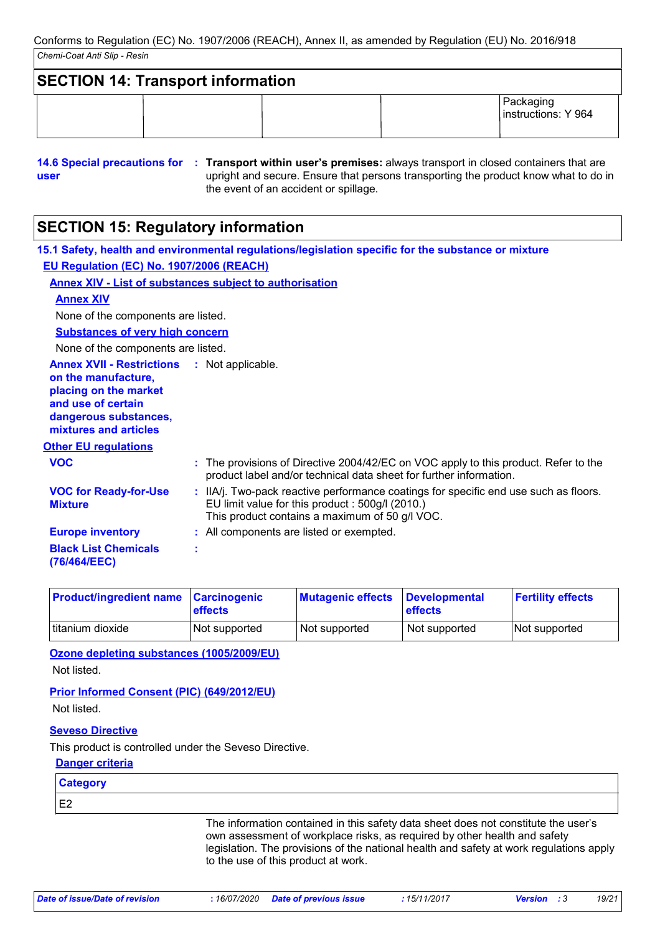| <b>SECTION 14: Transport information</b> |  |                                  |
|------------------------------------------|--|----------------------------------|
|                                          |  | Packaging<br>instructions: Y 964 |

**<sup>14.6</sup> Special precautions for : Transport within user's premises:** always transport in closed containers that are **user** upright and secure. Ensure that persons transporting the product know what to do in the event of an accident or spillage.

## **SECTION 15: Regulatory information**

|                                                                                                                                                          | 15.1 Safety, health and environmental regulations/legislation specific for the substance or mixture                                                                                       |
|----------------------------------------------------------------------------------------------------------------------------------------------------------|-------------------------------------------------------------------------------------------------------------------------------------------------------------------------------------------|
| <b>EU Regulation (EC) No. 1907/2006 (REACH)</b>                                                                                                          |                                                                                                                                                                                           |
|                                                                                                                                                          | <b>Annex XIV - List of substances subject to authorisation</b>                                                                                                                            |
| <b>Annex XIV</b>                                                                                                                                         |                                                                                                                                                                                           |
| None of the components are listed.                                                                                                                       |                                                                                                                                                                                           |
| <b>Substances of very high concern</b>                                                                                                                   |                                                                                                                                                                                           |
| None of the components are listed.                                                                                                                       |                                                                                                                                                                                           |
| <b>Annex XVII - Restrictions</b><br>on the manufacture,<br>placing on the market<br>and use of certain<br>dangerous substances,<br>mixtures and articles | : Not applicable.                                                                                                                                                                         |
| <b>Other EU regulations</b>                                                                                                                              |                                                                                                                                                                                           |
| <b>VOC</b>                                                                                                                                               | : The provisions of Directive 2004/42/EC on VOC apply to this product. Refer to the<br>product label and/or technical data sheet for further information.                                 |
| <b>VOC for Ready-for-Use</b><br><b>Mixture</b>                                                                                                           | : IIA/j. Two-pack reactive performance coatings for specific end use such as floors.<br>EU limit value for this product: 500g/l (2010.)<br>This product contains a maximum of 50 g/l VOC. |
| <b>Europe inventory</b>                                                                                                                                  | : All components are listed or exempted.                                                                                                                                                  |
| <b>Black List Chemicals</b><br>(76/464/EEC)                                                                                                              | t                                                                                                                                                                                         |

| <b>Product/ingredient name Carcinogenic</b> | <b>effects</b> | <b>Mutagenic effects</b> | <b>Developmental</b><br><b>effects</b> | <b>Fertility effects</b> |
|---------------------------------------------|----------------|--------------------------|----------------------------------------|--------------------------|
| titanium dioxide                            | Not supported  | Not supported            | Not supported                          | Not supported            |

**Ozone depleting substances (1005/2009/EU)** Not listed.

### **Prior Informed Consent (PIC) (649/2012/EU)** Not listed.

### **Seveso Directive**

This product is controlled under the Seveso Directive.

### **Danger criteria**

**Category**

E2

The information contained in this safety data sheet does not constitute the user's own assessment of workplace risks, as required by other health and safety legislation. The provisions of the national health and safety at work regulations apply to the use of this product at work.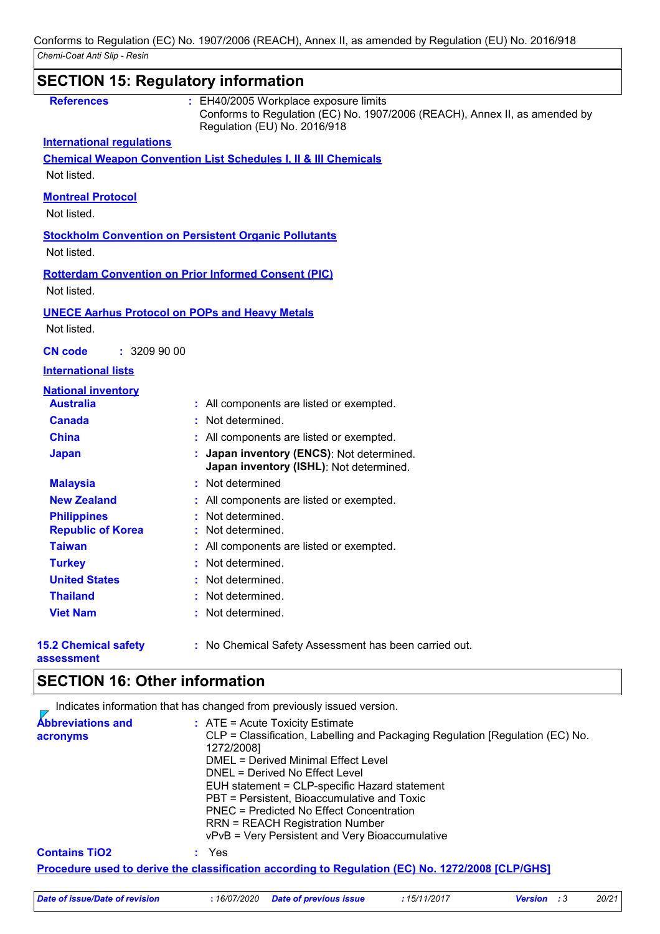|                                           | <b>SECTION 15: Regulatory information</b>                                                                                                           |
|-------------------------------------------|-----------------------------------------------------------------------------------------------------------------------------------------------------|
| <b>References</b>                         | : EH40/2005 Workplace exposure limits<br>Conforms to Regulation (EC) No. 1907/2006 (REACH), Annex II, as amended by<br>Regulation (EU) No. 2016/918 |
| <b>International regulations</b>          |                                                                                                                                                     |
|                                           | <b>Chemical Weapon Convention List Schedules I, II &amp; III Chemicals</b>                                                                          |
| Not listed.                               |                                                                                                                                                     |
| <b>Montreal Protocol</b>                  |                                                                                                                                                     |
| Not listed.                               |                                                                                                                                                     |
|                                           | <b>Stockholm Convention on Persistent Organic Pollutants</b>                                                                                        |
| Not listed.                               |                                                                                                                                                     |
|                                           |                                                                                                                                                     |
|                                           | <b>Rotterdam Convention on Prior Informed Consent (PIC)</b>                                                                                         |
| Not listed.                               |                                                                                                                                                     |
|                                           | <b>UNECE Aarhus Protocol on POPs and Heavy Metals</b>                                                                                               |
| Not listed.                               |                                                                                                                                                     |
| : 3209900<br><b>CN</b> code               |                                                                                                                                                     |
| <b>International lists</b>                |                                                                                                                                                     |
| <b>National inventory</b>                 |                                                                                                                                                     |
| <b>Australia</b>                          | : All components are listed or exempted.                                                                                                            |
| <b>Canada</b>                             | : Not determined.                                                                                                                                   |
| <b>China</b>                              | : All components are listed or exempted.                                                                                                            |
| <b>Japan</b>                              | : Japan inventory (ENCS): Not determined.<br>Japan inventory (ISHL): Not determined.                                                                |
| <b>Malaysia</b>                           | : Not determined                                                                                                                                    |
| <b>New Zealand</b>                        | : All components are listed or exempted.                                                                                                            |
| <b>Philippines</b>                        | Not determined.                                                                                                                                     |
| <b>Republic of Korea</b>                  | : Not determined.                                                                                                                                   |
| <b>Taiwan</b>                             | : All components are listed or exempted.                                                                                                            |
| <b>Turkey</b>                             | : Not determined.                                                                                                                                   |
| <b>United States</b>                      | Not determined.                                                                                                                                     |
| <b>Thailand</b>                           | : Not determined.                                                                                                                                   |
| <b>Viet Nam</b>                           | : Not determined.                                                                                                                                   |
| <b>15.2 Chemical safety</b><br>assessment | : No Chemical Safety Assessment has been carried out.                                                                                               |

## **SECTION 16: Other information**

Indicates information that has changed from previously issued version.

| <b>Abbreviations and</b><br>acronyms | $\therefore$ ATE = Acute Toxicity Estimate<br>CLP = Classification, Labelling and Packaging Regulation [Regulation (EC) No.<br>1272/2008]<br>DMEL = Derived Minimal Effect Level<br>DNEL = Derived No Effect Level<br>EUH statement = CLP-specific Hazard statement<br>PBT = Persistent, Bioaccumulative and Toxic<br><b>PNEC = Predicted No Effect Concentration</b><br><b>RRN = REACH Registration Number</b><br>vPvB = Very Persistent and Very Bioaccumulative |
|--------------------------------------|--------------------------------------------------------------------------------------------------------------------------------------------------------------------------------------------------------------------------------------------------------------------------------------------------------------------------------------------------------------------------------------------------------------------------------------------------------------------|
| <b>Contains TiO2</b>                 | : Yes                                                                                                                                                                                                                                                                                                                                                                                                                                                              |
|                                      | <u>Procedure used to derive the classification according to Regulation (EC) No. 1272/2008 [CLP/GHS]</u>                                                                                                                                                                                                                                                                                                                                                            |